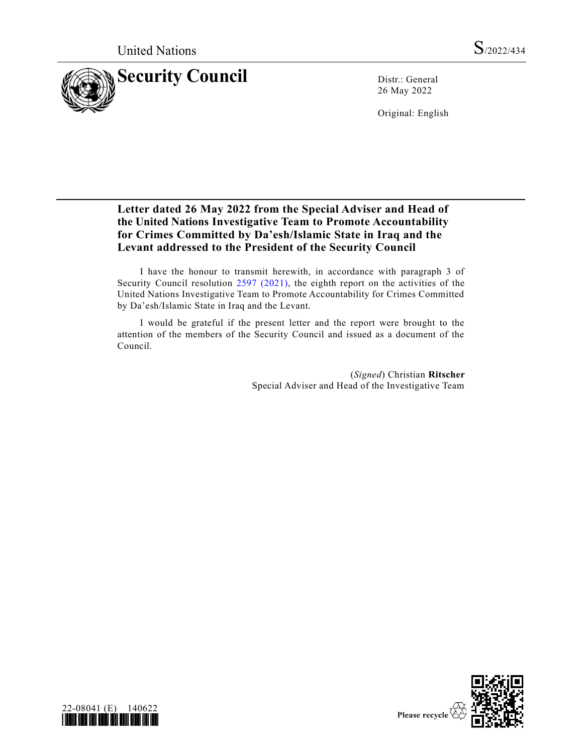

26 May 2022

Original: English

## **Letter dated 26 May 2022 from the Special Adviser and Head of the United Nations Investigative Team to Promote Accountability for Crimes Committed by Da'esh/Islamic State in Iraq and the Levant addressed to the President of the Security Council**

I have the honour to transmit herewith, in accordance with paragraph 3 of Security Council resolution [2597 \(2021\),](https://undocs.org/en/S/RES/2597(2021)) the eighth report on the activities of the United Nations Investigative Team to Promote Accountability for Crimes Committed by Da'esh/Islamic State in Iraq and the Levant.

I would be grateful if the present letter and the report were brought to the attention of the members of the Security Council and issued as a document of the Council.

> (*Signed*) Christian **Ritscher** Special Adviser and Head of the Investigative Team



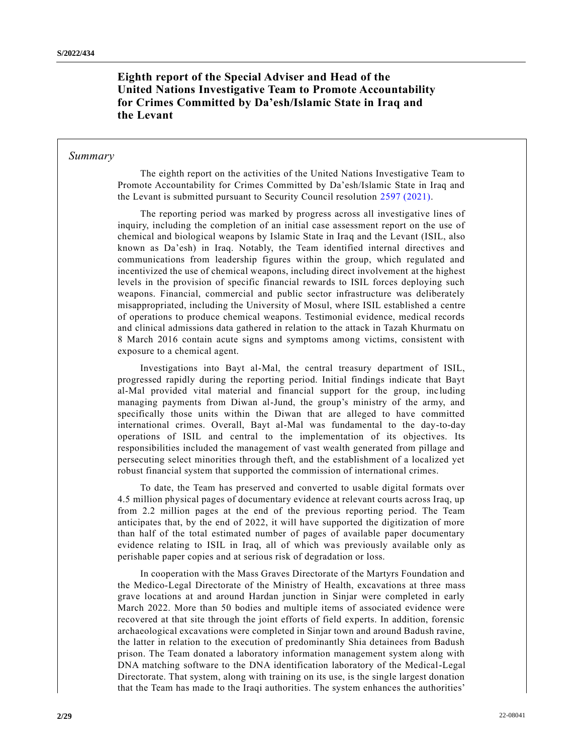**Eighth report of the Special Adviser and Head of the United Nations Investigative Team to Promote Accountability for Crimes Committed by Da'esh/Islamic State in Iraq and the Levant**

### *Summary*

The eighth report on the activities of the United Nations Investigative Team to Promote Accountability for Crimes Committed by Da'esh/Islamic State in Iraq and the Levant is submitted pursuant to Security Council resolution [2597 \(2021\).](https://undocs.org/en/S/RES/2597(2021))

The reporting period was marked by progress across all investigative lines of inquiry, including the completion of an initial case assessment report on the use of chemical and biological weapons by Islamic State in Iraq and the Levant (ISIL, also known as Da'esh) in Iraq. Notably, the Team identified internal directives and communications from leadership figures within the group, which regulated and incentivized the use of chemical weapons, including direct involvement at the highest levels in the provision of specific financial rewards to ISIL forces deploying such weapons. Financial, commercial and public sector infrastructure was deliberately misappropriated, including the University of Mosul, where ISIL established a centre of operations to produce chemical weapons. Testimonial evidence, medical records and clinical admissions data gathered in relation to the attack in Tazah Khurmatu on 8 March 2016 contain acute signs and symptoms among victims, consistent with exposure to a chemical agent.

Investigations into Bayt al-Mal, the central treasury department of ISIL, progressed rapidly during the reporting period. Initial findings indicate that Bayt al-Mal provided vital material and financial support for the group, inc luding managing payments from Diwan al-Jund, the group's ministry of the army, and specifically those units within the Diwan that are alleged to have committed international crimes. Overall, Bayt al-Mal was fundamental to the day-to-day operations of ISIL and central to the implementation of its objectives. Its responsibilities included the management of vast wealth generated from pillage and persecuting select minorities through theft, and the establishment of a localized yet robust financial system that supported the commission of international crimes.

To date, the Team has preserved and converted to usable digital formats over 4.5 million physical pages of documentary evidence at relevant courts across Iraq, up from 2.2 million pages at the end of the previous reporting period. The Team anticipates that, by the end of 2022, it will have supported the digitization of more than half of the total estimated number of pages of available paper documentary evidence relating to ISIL in Iraq, all of which was previously available only as perishable paper copies and at serious risk of degradation or loss.

In cooperation with the Mass Graves Directorate of the Martyrs Foundation and the Medico-Legal Directorate of the Ministry of Health, excavations at three mass grave locations at and around Hardan junction in Sinjar were completed in early March 2022. More than 50 bodies and multiple items of associated evidence were recovered at that site through the joint efforts of field experts. In addition, forensic archaeological excavations were completed in Sinjar town and around Badush ravine, the latter in relation to the execution of predominantly Shia detainees from Badush prison. The Team donated a laboratory information management system along with DNA matching software to the DNA identification laboratory of the Medical-Legal Directorate. That system, along with training on its use, is the single largest donation that the Team has made to the Iraqi authorities. The system enhances the authorities'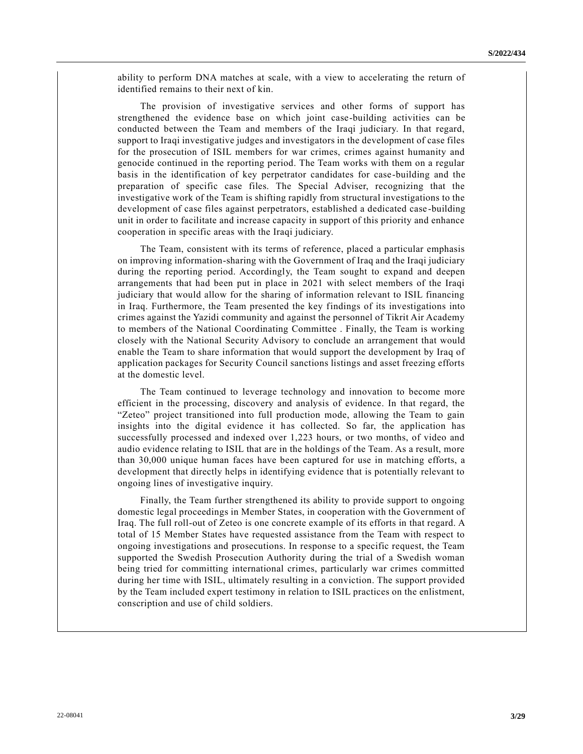ability to perform DNA matches at scale, with a view to accelerating the return of identified remains to their next of kin.

The provision of investigative services and other forms of support has strengthened the evidence base on which joint case-building activities can be conducted between the Team and members of the Iraqi judiciary. In that regard, support to Iraqi investigative judges and investigators in the development of case files for the prosecution of ISIL members for war crimes, crimes against humanity and genocide continued in the reporting period. The Team works with them on a regular basis in the identification of key perpetrator candidates for case-building and the preparation of specific case files. The Special Adviser, recognizing that the investigative work of the Team is shifting rapidly from structural investigations to the development of case files against perpetrators, established a dedicated case -building unit in order to facilitate and increase capacity in support of this priority and enhance cooperation in specific areas with the Iraqi judiciary.

The Team, consistent with its terms of reference, placed a particular emphasis on improving information-sharing with the Government of Iraq and the Iraqi judiciary during the reporting period. Accordingly, the Team sought to expand and deepen arrangements that had been put in place in 2021 with select members of the Iraqi judiciary that would allow for the sharing of information relevant to ISIL financing in Iraq. Furthermore, the Team presented the key findings of its investigations into crimes against the Yazidi community and against the personnel of Tikrit Air Academy to members of the National Coordinating Committee . Finally, the Team is working closely with the National Security Advisory to conclude an arrangement that would enable the Team to share information that would support the development by Iraq of application packages for Security Council sanctions listings and asset freezing efforts at the domestic level.

The Team continued to leverage technology and innovation to become more efficient in the processing, discovery and analysis of evidence. In that regard, the "Zeteo" project transitioned into full production mode, allowing the Team to gain insights into the digital evidence it has collected. So far, the application has successfully processed and indexed over 1,223 hours, or two months, of video and audio evidence relating to ISIL that are in the holdings of the Team. As a result, more than 30,000 unique human faces have been captured for use in matching efforts, a development that directly helps in identifying evidence that is potentially relevant to ongoing lines of investigative inquiry.

Finally, the Team further strengthened its ability to provide support to ongoing domestic legal proceedings in Member States, in cooperation with the Government of Iraq. The full roll-out of Zeteo is one concrete example of its efforts in that regard. A total of 15 Member States have requested assistance from the Team with respect to ongoing investigations and prosecutions. In response to a specific request, the Team supported the Swedish Prosecution Authority during the trial of a Swedish woman being tried for committing international crimes, particularly war crimes committed during her time with ISIL, ultimately resulting in a conviction. The support provided by the Team included expert testimony in relation to ISIL practices on the enlistment, conscription and use of child soldiers.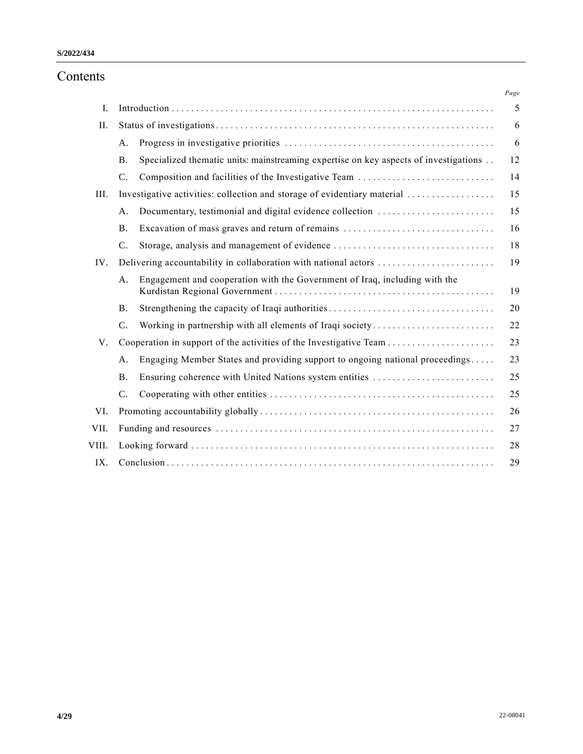# Contents

|       |                 |                                                                                      | $Page$ |
|-------|-----------------|--------------------------------------------------------------------------------------|--------|
| I.    |                 |                                                                                      | 5      |
| Π.    |                 |                                                                                      | 6      |
|       | A.              |                                                                                      | 6      |
|       | <b>B.</b>       | Specialized thematic units: mainstreaming expertise on key aspects of investigations | 12     |
|       | $\mathcal{C}$ . | Composition and facilities of the Investigative Team                                 | 14     |
| III.  |                 | Investigative activities: collection and storage of evidentiary material             | 15     |
|       | A.              | Documentary, testimonial and digital evidence collection                             | 15     |
|       | <b>B.</b>       | Excavation of mass graves and return of remains                                      | 16     |
|       | C.              |                                                                                      | 18     |
| IV.   |                 | Delivering accountability in collaboration with national actors                      | 19     |
|       | A.              | Engagement and cooperation with the Government of Iraq, including with the           | 19     |
|       | <b>B.</b>       |                                                                                      | 20     |
|       | C.              | Working in partnership with all elements of Iraqi society                            | 22     |
| V.    |                 |                                                                                      | 23     |
|       | A.              | Engaging Member States and providing support to ongoing national proceedings         | 23     |
|       | <b>B.</b>       | Ensuring coherence with United Nations system entities                               | 25     |
|       | C.              |                                                                                      | 25     |
| VI.   |                 |                                                                                      | 26     |
| VII.  |                 |                                                                                      | 27     |
| VIII. |                 |                                                                                      | 28     |
| IX.   |                 |                                                                                      | 29     |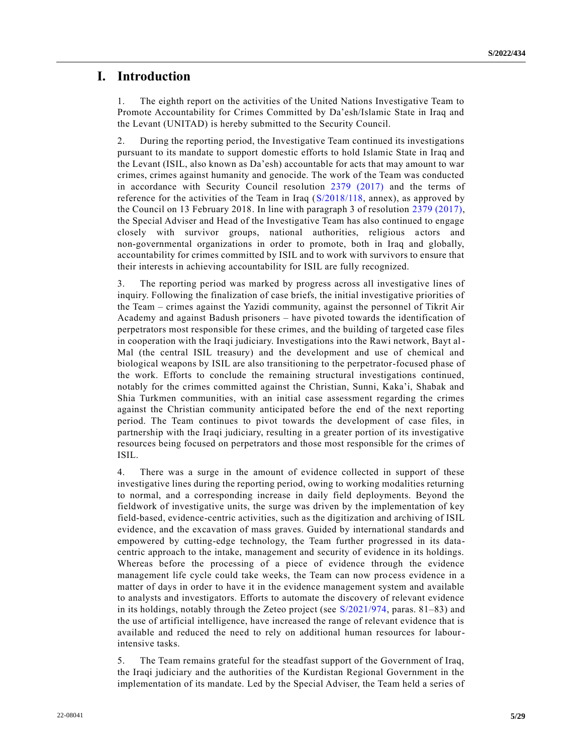## **I. Introduction**

1. The eighth report on the activities of the United Nations Investigative Team to Promote Accountability for Crimes Committed by Da'esh/Islamic State in Iraq and the Levant (UNITAD) is hereby submitted to the Security Council.

2. During the reporting period, the Investigative Team continued its investigations pursuant to its mandate to support domestic efforts to hold Islamic State in Iraq and the Levant (ISIL, also known as Da'esh) accountable for acts that may amount to war crimes, crimes against humanity and genocide. The work of the Team was conducted in accordance with Security Council resolution [2379 \(2017\)](https://undocs.org/en/S/RES/2379(2017)) and the terms of reference for the activities of the Team in Iraq [\(S/2018/118,](https://undocs.org/en/S/2018/118) annex), as approved by the Council on 13 February 2018. In line with paragraph 3 of resolution [2379 \(2017\),](https://undocs.org/en/S/RES/2379(2017)) the Special Adviser and Head of the Investigative Team has also continued to engage closely with survivor groups, national authorities, religious actors and non-governmental organizations in order to promote, both in Iraq and globally, accountability for crimes committed by ISIL and to work with survivors to ensure that their interests in achieving accountability for ISIL are fully recognized.

3. The reporting period was marked by progress across all investigative lines of inquiry. Following the finalization of case briefs, the initial investigative priorities of the Team – crimes against the Yazidi community, against the personnel of Tikrit Air Academy and against Badush prisoners – have pivoted towards the identification of perpetrators most responsible for these crimes, and the building of targeted case files in cooperation with the Iraqi judiciary. Investigations into the Rawi network, Bayt al-Mal (the central ISIL treasury) and the development and use of chemical and biological weapons by ISIL are also transitioning to the perpetrator-focused phase of the work. Efforts to conclude the remaining structural investigations continued, notably for the crimes committed against the Christian, Sunni, Kaka'i, Shabak and Shia Turkmen communities, with an initial case assessment regarding the crimes against the Christian community anticipated before the end of the next reporting period. The Team continues to pivot towards the development of case files, in partnership with the Iraqi judiciary, resulting in a greater portion of its investigative resources being focused on perpetrators and those most responsible for the crimes of ISIL.

4. There was a surge in the amount of evidence collected in support of these investigative lines during the reporting period, owing to working modalities returning to normal, and a corresponding increase in daily field deployments. Beyond the fieldwork of investigative units, the surge was driven by the implementation of key field-based, evidence-centric activities, such as the digitization and archiving of ISIL evidence, and the excavation of mass graves. Guided by international standards and empowered by cutting-edge technology, the Team further progressed in its datacentric approach to the intake, management and security of evidence in its holdings. Whereas before the processing of a piece of evidence through the evidence management life cycle could take weeks, the Team can now process evidence in a matter of days in order to have it in the evidence management system and available to analysts and investigators. Efforts to automate the discovery of relevant evidence in its holdings, notably through the Zeteo project (see [S/2021/974,](https://undocs.org/en/S/2021/974) paras. 81–83) and the use of artificial intelligence, have increased the range of relevant evidence that is available and reduced the need to rely on additional human resources for labourintensive tasks.

5. The Team remains grateful for the steadfast support of the Government of Iraq, the Iraqi judiciary and the authorities of the Kurdistan Regional Government in the implementation of its mandate. Led by the Special Adviser, the Team held a series of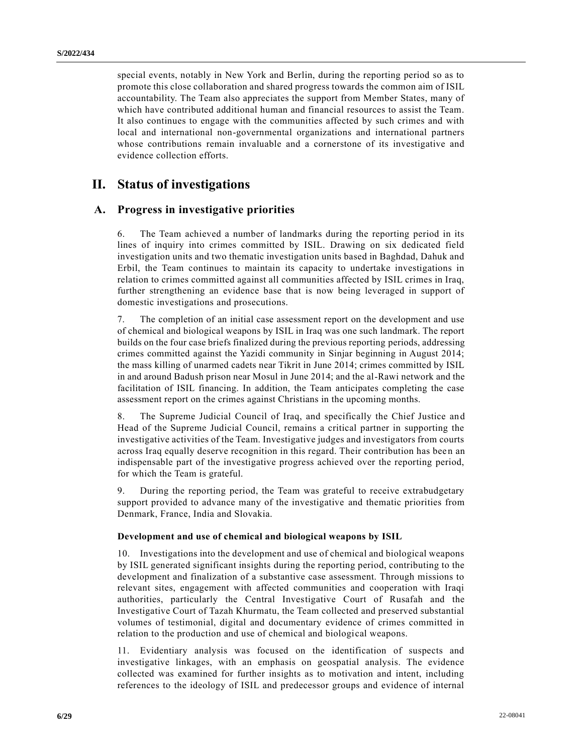special events, notably in New York and Berlin, during the reporting period so as to promote this close collaboration and shared progress towards the common aim of ISIL accountability. The Team also appreciates the support from Member States, many of which have contributed additional human and financial resources to assist the Team. It also continues to engage with the communities affected by such crimes and with local and international non-governmental organizations and international partners whose contributions remain invaluable and a cornerstone of its investigative and evidence collection efforts.

# **II. Status of investigations**

## **A. Progress in investigative priorities**

6. The Team achieved a number of landmarks during the reporting period in its lines of inquiry into crimes committed by ISIL. Drawing on six dedicated field investigation units and two thematic investigation units based in Baghdad, Dahuk and Erbil, the Team continues to maintain its capacity to undertake investigations in relation to crimes committed against all communities affected by ISIL crimes in Iraq, further strengthening an evidence base that is now being leveraged in support of domestic investigations and prosecutions.

7. The completion of an initial case assessment report on the development and use of chemical and biological weapons by ISIL in Iraq was one such landmark. The report builds on the four case briefs finalized during the previous reporting periods, addressing crimes committed against the Yazidi community in Sinjar beginning in August 2014; the mass killing of unarmed cadets near Tikrit in June 2014; crimes committed by ISIL in and around Badush prison near Mosul in June 2014; and the al-Rawi network and the facilitation of ISIL financing. In addition, the Team anticipates completing the case assessment report on the crimes against Christians in the upcoming months.

8. The Supreme Judicial Council of Iraq, and specifically the Chief Justice an d Head of the Supreme Judicial Council, remains a critical partner in supporting the investigative activities of the Team. Investigative judges and investigators from courts across Iraq equally deserve recognition in this regard. Their contribution has been an indispensable part of the investigative progress achieved over the reporting period, for which the Team is grateful.

9. During the reporting period, the Team was grateful to receive extrabudgetary support provided to advance many of the investigative and thematic priorities from Denmark, France, India and Slovakia.

### **Development and use of chemical and biological weapons by ISIL**

10. Investigations into the development and use of chemical and biological weapons by ISIL generated significant insights during the reporting period, contributing to the development and finalization of a substantive case assessment. Through missions to relevant sites, engagement with affected communities and cooperation with Iraqi authorities, particularly the Central Investigative Court of Rusafah and the Investigative Court of Tazah Khurmatu, the Team collected and preserved substantial volumes of testimonial, digital and documentary evidence of crimes committed in relation to the production and use of chemical and biological weapons.

11. Evidentiary analysis was focused on the identification of suspects and investigative linkages, with an emphasis on geospatial analysis. The evidence collected was examined for further insights as to motivation and intent, including references to the ideology of ISIL and predecessor groups and evidence of internal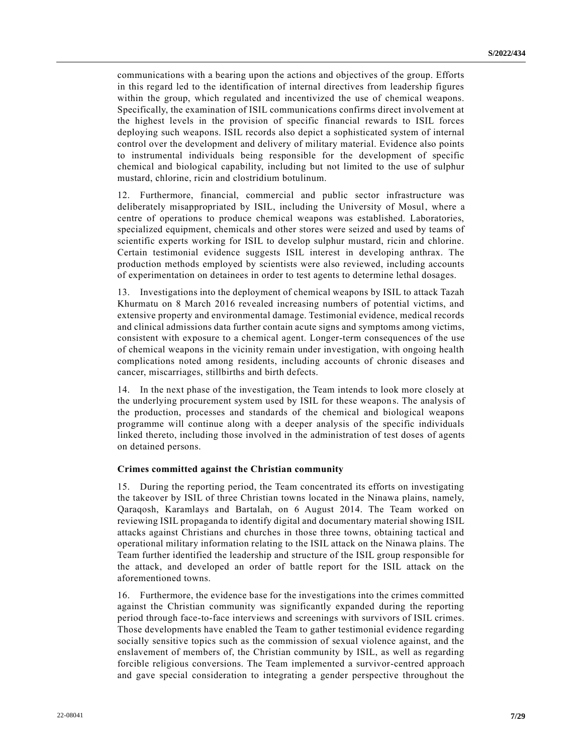communications with a bearing upon the actions and objectives of the group. Efforts in this regard led to the identification of internal directives from leadership figures within the group, which regulated and incentivized the use of chemical weapons. Specifically, the examination of ISIL communications confirms direct involvement at the highest levels in the provision of specific financial rewards to ISIL forces deploying such weapons. ISIL records also depict a sophisticated system of internal control over the development and delivery of military material. Evidence also points to instrumental individuals being responsible for the development of specific chemical and biological capability, including but not limited to the use of sulphur mustard, chlorine, ricin and clostridium botulinum.

12. Furthermore, financial, commercial and public sector infrastructure was deliberately misappropriated by ISIL, including the University of Mosul, where a centre of operations to produce chemical weapons was established. Laboratories, specialized equipment, chemicals and other stores were seized and used by teams of scientific experts working for ISIL to develop sulphur mustard, ricin and chlorine. Certain testimonial evidence suggests ISIL interest in developing anthrax. The production methods employed by scientists were also reviewed, including accounts of experimentation on detainees in order to test agents to determine lethal dosages.

13. Investigations into the deployment of chemical weapons by ISIL to attack Tazah Khurmatu on 8 March 2016 revealed increasing numbers of potential victims, and extensive property and environmental damage. Testimonial evidence, medical records and clinical admissions data further contain acute signs and symptoms among victims, consistent with exposure to a chemical agent. Longer-term consequences of the use of chemical weapons in the vicinity remain under investigation, with ongoing health complications noted among residents, including accounts of chronic diseases and cancer, miscarriages, stillbirths and birth defects.

14. In the next phase of the investigation, the Team intends to look more closely at the underlying procurement system used by ISIL for these weapons. The analysis of the production, processes and standards of the chemical and biological weapons programme will continue along with a deeper analysis of the specific individuals linked thereto, including those involved in the administration of test doses of agents on detained persons.

#### **Crimes committed against the Christian community**

15. During the reporting period, the Team concentrated its efforts on investigating the takeover by ISIL of three Christian towns located in the Ninawa plains, namely, Qaraqosh, Karamlays and Bartalah, on 6 August 2014. The Team worked on reviewing ISIL propaganda to identify digital and documentary material showing ISIL attacks against Christians and churches in those three towns, obtaining tactical and operational military information relating to the ISIL attack on the Ninawa plains. The Team further identified the leadership and structure of the ISIL group responsible for the attack, and developed an order of battle report for the ISIL attack on the aforementioned towns.

16. Furthermore, the evidence base for the investigations into the crimes committed against the Christian community was significantly expanded during the reporting period through face-to-face interviews and screenings with survivors of ISIL crimes. Those developments have enabled the Team to gather testimonial evidence regarding socially sensitive topics such as the commission of sexual violence against, and the enslavement of members of, the Christian community by ISIL, as well as regarding forcible religious conversions. The Team implemented a survivor-centred approach and gave special consideration to integrating a gender perspective throughout the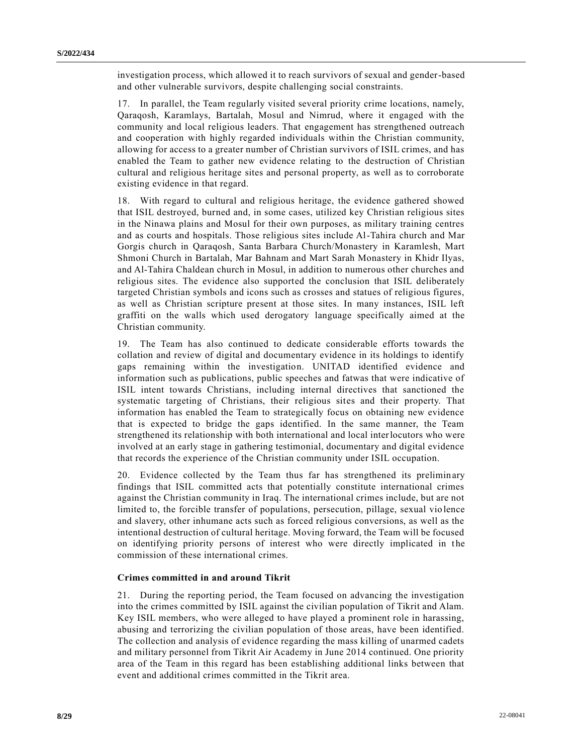investigation process, which allowed it to reach survivors of sexual and gender-based and other vulnerable survivors, despite challenging social constraints.

17. In parallel, the Team regularly visited several priority crime locations, namely, Qaraqosh, Karamlays, Bartalah, Mosul and Nimrud, where it engaged with the community and local religious leaders. That engagement has strengthened outreach and cooperation with highly regarded individuals within the Christian community, allowing for access to a greater number of Christian survivors of ISIL crimes, and has enabled the Team to gather new evidence relating to the destruction of Christian cultural and religious heritage sites and personal property, as well as to corroborate existing evidence in that regard.

18. With regard to cultural and religious heritage, the evidence gathered showed that ISIL destroyed, burned and, in some cases, utilized key Christian religious sites in the Ninawa plains and Mosul for their own purposes, as military training centres and as courts and hospitals. Those religious sites include Al-Tahira church and Mar Gorgis church in Qaraqosh, Santa Barbara Church/Monastery in Karamlesh, Mart Shmoni Church in Bartalah, Mar Bahnam and Mart Sarah Monastery in Khidr Ilyas, and Al-Tahira Chaldean church in Mosul, in addition to numerous other churches and religious sites. The evidence also supported the conclusion that ISIL deliberately targeted Christian symbols and icons such as crosses and statues of religious figures, as well as Christian scripture present at those sites. In many instances, ISIL left graffiti on the walls which used derogatory language specifically aimed at the Christian community.

19. The Team has also continued to dedicate considerable efforts towards the collation and review of digital and documentary evidence in its holdings to identify gaps remaining within the investigation. UNITAD identified evidence and information such as publications, public speeches and fatwas that were indicative of ISIL intent towards Christians, including internal directives that sanctioned the systematic targeting of Christians, their religious sites and their property. That information has enabled the Team to strategically focus on obtaining new evidence that is expected to bridge the gaps identified. In the same manner, the Team strengthened its relationship with both international and local interlocutors who were involved at an early stage in gathering testimonial, documentary and digital evidence that records the experience of the Christian community under ISIL occupation.

20. Evidence collected by the Team thus far has strengthened its preliminary findings that ISIL committed acts that potentially constitute international crimes against the Christian community in Iraq. The international crimes include, but are not limited to, the forcible transfer of populations, persecution, pillage, sexual vio lence and slavery, other inhumane acts such as forced religious conversions, as well as the intentional destruction of cultural heritage. Moving forward, the Team will be focused on identifying priority persons of interest who were directly implicated in the commission of these international crimes.

#### **Crimes committed in and around Tikrit**

21. During the reporting period, the Team focused on advancing the investigation into the crimes committed by ISIL against the civilian population of Tikrit and Alam. Key ISIL members, who were alleged to have played a prominent role in harassing, abusing and terrorizing the civilian population of those areas, have been identified. The collection and analysis of evidence regarding the mass killing of unarmed cadets and military personnel from Tikrit Air Academy in June 2014 continued. One priority area of the Team in this regard has been establishing additional links between that event and additional crimes committed in the Tikrit area.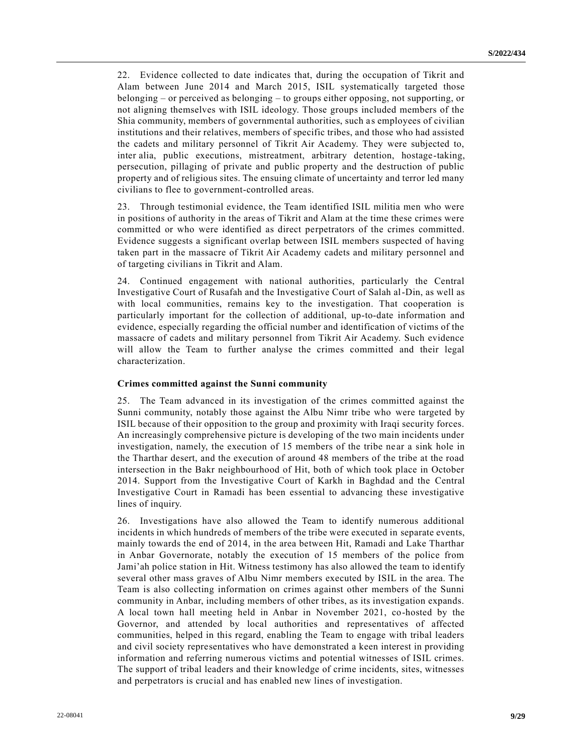22. Evidence collected to date indicates that, during the occupation of Tikrit and Alam between June 2014 and March 2015, ISIL systematically targeted those belonging – or perceived as belonging – to groups either opposing, not supporting, or not aligning themselves with ISIL ideology. Those groups included members of the Shia community, members of governmental authorities, such as employees of civilian institutions and their relatives, members of specific tribes, and those who had assisted the cadets and military personnel of Tikrit Air Academy. They were subjected to, inter alia, public executions, mistreatment, arbitrary detention, hostage-taking, persecution, pillaging of private and public property and the destruction of public property and of religious sites. The ensuing climate of uncertainty and terror led many civilians to flee to government-controlled areas.

23. Through testimonial evidence, the Team identified ISIL militia men who were in positions of authority in the areas of Tikrit and Alam at the time these crimes were committed or who were identified as direct perpetrators of the crimes committed. Evidence suggests a significant overlap between ISIL members suspected of having taken part in the massacre of Tikrit Air Academy cadets and military personnel and of targeting civilians in Tikrit and Alam.

24. Continued engagement with national authorities, particularly the Central Investigative Court of Rusafah and the Investigative Court of Salah al-Din, as well as with local communities, remains key to the investigation. That cooperation is particularly important for the collection of additional, up-to-date information and evidence, especially regarding the official number and identification of victims of the massacre of cadets and military personnel from Tikrit Air Academy. Such evidence will allow the Team to further analyse the crimes committed and their legal characterization.

### **Crimes committed against the Sunni community**

25. The Team advanced in its investigation of the crimes committed against the Sunni community, notably those against the Albu Nimr tribe who were targeted by ISIL because of their opposition to the group and proximity with Iraqi security forces. An increasingly comprehensive picture is developing of the two main incidents under investigation, namely, the execution of 15 members of the tribe ne ar a sink hole in the Tharthar desert, and the execution of around 48 members of the tribe at the road intersection in the Bakr neighbourhood of Hit, both of which took place in October 2014. Support from the Investigative Court of Karkh in Baghdad and the Central Investigative Court in Ramadi has been essential to advancing these investigative lines of inquiry.

26. Investigations have also allowed the Team to identify numerous additional incidents in which hundreds of members of the tribe were executed in separate events, mainly towards the end of 2014, in the area between Hit, Ramadi and Lake Tharthar in Anbar Governorate, notably the execution of 15 members of the police from Jami'ah police station in Hit. Witness testimony has also allowed the team to identify several other mass graves of Albu Nimr members executed by ISIL in the area. The Team is also collecting information on crimes against other members of the Sunni community in Anbar, including members of other tribes, as its investigation expands. A local town hall meeting held in Anbar in November 2021, co-hosted by the Governor, and attended by local authorities and representatives of affected communities, helped in this regard, enabling the Team to engage with tribal leaders and civil society representatives who have demonstrated a keen interest in providing information and referring numerous victims and potential witnesses of ISIL crimes. The support of tribal leaders and their knowledge of crime incidents, sites, witnesses and perpetrators is crucial and has enabled new lines of investigation.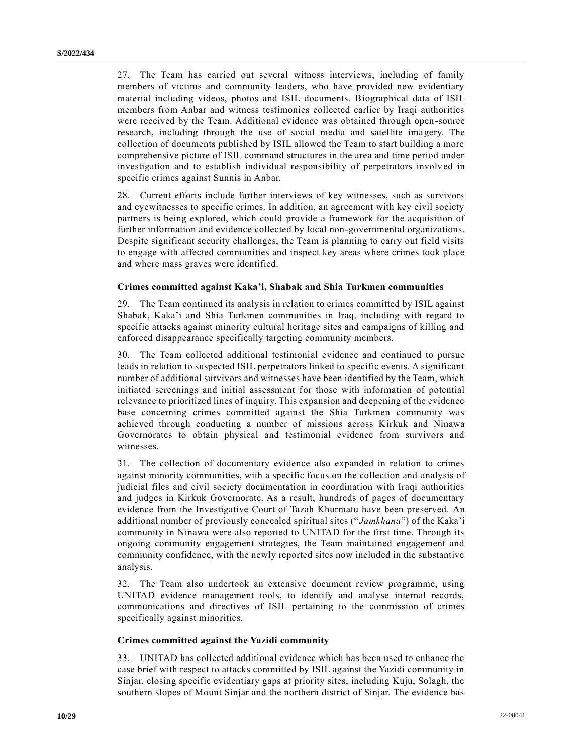27. The Team has carried out several witness interviews, including of family members of victims and community leaders, who have provided new evidentiary material including videos, photos and ISIL documents. Biographical data of ISIL members from Anbar and witness testimonies collected earlier by Iraqi authorities were received by the Team. Additional evidence was obtained through open-source research, including through the use of social media and satellite imagery. The collection of documents published by ISIL allowed the Team to start building a more comprehensive picture of ISIL command structures in the area and time period under investigation and to establish individual responsibility of perpetrators involv ed in specific crimes against Sunnis in Anbar.

28. Current efforts include further interviews of key witnesses, such as survivors and eyewitnesses to specific crimes. In addition, an agreement with key civil society partners is being explored, which could provide a framework for the acquisition of further information and evidence collected by local non-governmental organizations. Despite significant security challenges, the Team is planning to carry out field visits to engage with affected communities and inspect key areas where crimes took place and where mass graves were identified.

### **Crimes committed against Kaka'i, Shabak and Shia Turkmen communities**

29. The Team continued its analysis in relation to crimes committed by ISIL against Shabak, Kaka'i and Shia Turkmen communities in Iraq, including with regard to specific attacks against minority cultural heritage sites and campaigns of killing and enforced disappearance specifically targeting community members.

30. The Team collected additional testimonial evidence and continued to pursue leads in relation to suspected ISIL perpetrators linked to specific events. A significant number of additional survivors and witnesses have been identified by the Team, which initiated screenings and initial assessment for those with information of potential relevance to prioritized lines of inquiry. This expansion and deepening of the evidence base concerning crimes committed against the Shia Turkmen community was achieved through conducting a number of missions across Kirkuk and Ninawa Governorates to obtain physical and testimonial evidence from survivors and witnesses.

31. The collection of documentary evidence also expanded in relation to crimes against minority communities, with a specific focus on the collection and analysis of judicial files and civil society documentation in coordination with Iraqi authorities and judges in Kirkuk Governorate. As a result, hundreds of pages of documentary evidence from the Investigative Court of Tazah Khurmatu have been preserved. An additional number of previously concealed spiritual sites ("*Jamkhana*") of the Kaka'i community in Ninawa were also reported to UNITAD for the first time. Through its ongoing community engagement strategies, the Team maintained engagement and community confidence, with the newly reported sites now included in the substantive analysis.

32. The Team also undertook an extensive document review programme, using UNITAD evidence management tools, to identify and analyse internal records, communications and directives of ISIL pertaining to the commission of crimes specifically against minorities.

### **Crimes committed against the Yazidi community**

33. UNITAD has collected additional evidence which has been used to enhance the case brief with respect to attacks committed by ISIL against the Yazidi community in Sinjar, closing specific evidentiary gaps at priority sites, including Kuju, Solagh, the southern slopes of Mount Sinjar and the northern district of Sinjar. The evidence has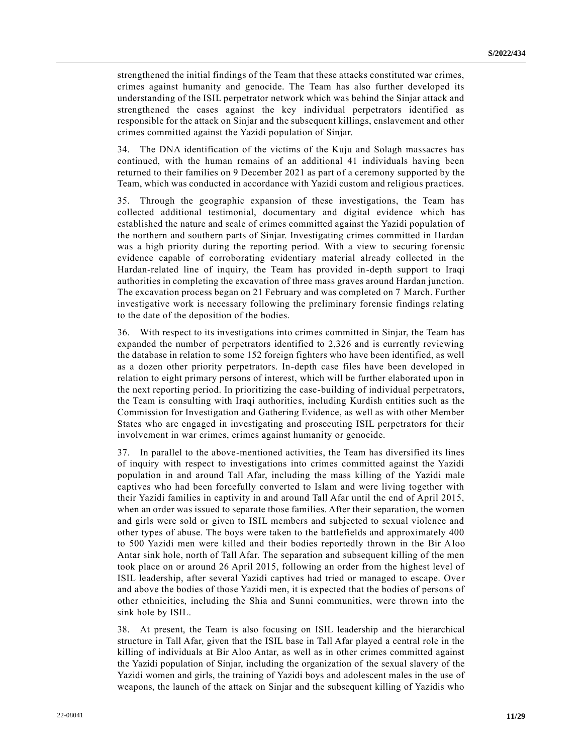strengthened the initial findings of the Team that these attacks constituted war crimes, crimes against humanity and genocide. The Team has also further developed its understanding of the ISIL perpetrator network which was behind the Sinjar attack and strengthened the cases against the key individual perpetrators identified as responsible for the attack on Sinjar and the subsequent killings, enslavement and other crimes committed against the Yazidi population of Sinjar.

34. The DNA identification of the victims of the Kuju and Solagh massacres has continued, with the human remains of an additional 41 individuals having been returned to their families on 9 December 2021 as part of a ceremony supported by the Team, which was conducted in accordance with Yazidi custom and religious practices.

35. Through the geographic expansion of these investigations, the Team has collected additional testimonial, documentary and digital evidence which has established the nature and scale of crimes committed against the Yazidi population of the northern and southern parts of Sinjar. Investigating crimes committed in Hardan was a high priority during the reporting period. With a view to securing for ensic evidence capable of corroborating evidentiary material already collected in the Hardan-related line of inquiry, the Team has provided in-depth support to Iraqi authorities in completing the excavation of three mass graves around Hardan junction. The excavation process began on 21 February and was completed on 7 March. Further investigative work is necessary following the preliminary forensic findings relating to the date of the deposition of the bodies.

36. With respect to its investigations into crimes committed in Sinjar, the Team has expanded the number of perpetrators identified to 2,326 and is currently reviewing the database in relation to some 152 foreign fighters who have been identified, as well as a dozen other priority perpetrators. In-depth case files have been developed in relation to eight primary persons of interest, which will be further elaborated upon in the next reporting period. In prioritizing the case-building of individual perpetrators, the Team is consulting with Iraqi authorities, including Kurdish entities such as the Commission for Investigation and Gathering Evidence, as well as with other Member States who are engaged in investigating and prosecuting ISIL perpetrators for their involvement in war crimes, crimes against humanity or genocide.

37. In parallel to the above-mentioned activities, the Team has diversified its lines of inquiry with respect to investigations into crimes committed against the Yazidi population in and around Tall Afar, including the mass killing of the Yazidi male captives who had been forcefully converted to Islam and were living together with their Yazidi families in captivity in and around Tall Afar until the end of April 2015, when an order was issued to separate those families. After their separation, the women and girls were sold or given to ISIL members and subjected to sexual violence and other types of abuse. The boys were taken to the battlefields and approximately 400 to 500 Yazidi men were killed and their bodies reportedly thrown in the Bir Aloo Antar sink hole, north of Tall Afar. The separation and subsequent killing of the men took place on or around 26 April 2015, following an order from the highest level of ISIL leadership, after several Yazidi captives had tried or managed to escape. Ove r and above the bodies of those Yazidi men, it is expected that the bodies of persons of other ethnicities, including the Shia and Sunni communities, were thrown into the sink hole by ISIL.

38. At present, the Team is also focusing on ISIL leadership and the hierarchical structure in Tall Afar, given that the ISIL base in Tall Afar played a central role in the killing of individuals at Bir Aloo Antar, as well as in other crimes committed against the Yazidi population of Sinjar, including the organization of the sexual slavery of the Yazidi women and girls, the training of Yazidi boys and adolescent males in the use of weapons, the launch of the attack on Sinjar and the subsequent killing of Yazidis who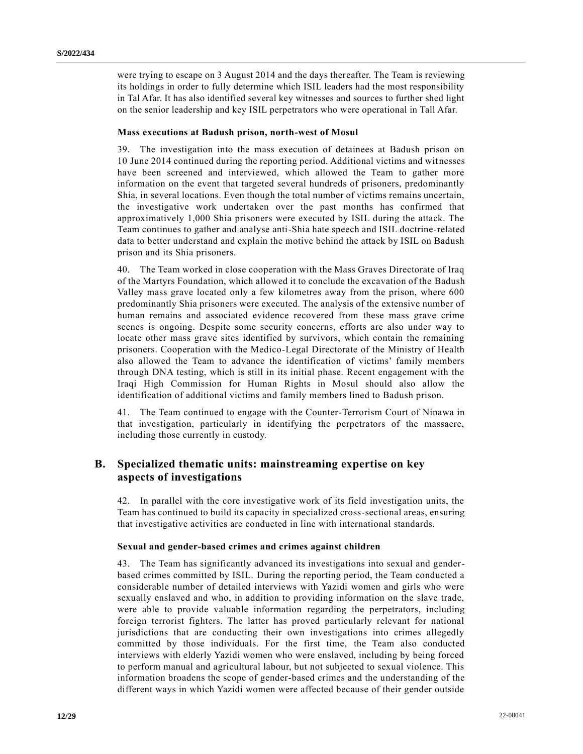were trying to escape on 3 August 2014 and the days thereafter. The Team is reviewing its holdings in order to fully determine which ISIL leaders had the most responsibility in Tal Afar. It has also identified several key witnesses and sources to further shed light on the senior leadership and key ISIL perpetrators who were operational in Tall Afar.

#### **Mass executions at Badush prison, north-west of Mosul**

39. The investigation into the mass execution of detainees at Badush prison on 10 June 2014 continued during the reporting period. Additional victims and witnesses have been screened and interviewed, which allowed the Team to gather more information on the event that targeted several hundreds of prisoners, predominantly Shia, in several locations. Even though the total number of victims remains uncertain, the investigative work undertaken over the past months has confirmed that approximatively 1,000 Shia prisoners were executed by ISIL during the attack. The Team continues to gather and analyse anti-Shia hate speech and ISIL doctrine-related data to better understand and explain the motive behind the attack by ISIL on Badush prison and its Shia prisoners.

40. The Team worked in close cooperation with the Mass Graves Directorate of Iraq of the Martyrs Foundation, which allowed it to conclude the excavation of the Badush Valley mass grave located only a few kilometres away from the prison, where 600 predominantly Shia prisoners were executed. The analysis of the extensive number of human remains and associated evidence recovered from these mass grave crime scenes is ongoing. Despite some security concerns, efforts are also under way to locate other mass grave sites identified by survivors, which contain the remaining prisoners. Cooperation with the Medico-Legal Directorate of the Ministry of Health also allowed the Team to advance the identification of victims' family members through DNA testing, which is still in its initial phase. Recent engagement with the Iraqi High Commission for Human Rights in Mosul should also allow the identification of additional victims and family members lined to Badush prison.

41. The Team continued to engage with the Counter-Terrorism Court of Ninawa in that investigation, particularly in identifying the perpetrators of the massacre, including those currently in custody.

## **B. Specialized thematic units: mainstreaming expertise on key aspects of investigations**

42. In parallel with the core investigative work of its field investigation units, the Team has continued to build its capacity in specialized cross-sectional areas, ensuring that investigative activities are conducted in line with international standards.

#### **Sexual and gender-based crimes and crimes against children**

43. The Team has significantly advanced its investigations into sexual and genderbased crimes committed by ISIL. During the reporting period, the Team conducted a considerable number of detailed interviews with Yazidi women and girls who were sexually enslaved and who, in addition to providing information on the slave trade, were able to provide valuable information regarding the perpetrators, including foreign terrorist fighters. The latter has proved particularly relevant for national jurisdictions that are conducting their own investigations into crimes allegedly committed by those individuals. For the first time, the Team also conducted interviews with elderly Yazidi women who were enslaved, including by being forced to perform manual and agricultural labour, but not subjected to sexual violence. This information broadens the scope of gender-based crimes and the understanding of the different ways in which Yazidi women were affected because of their gender outside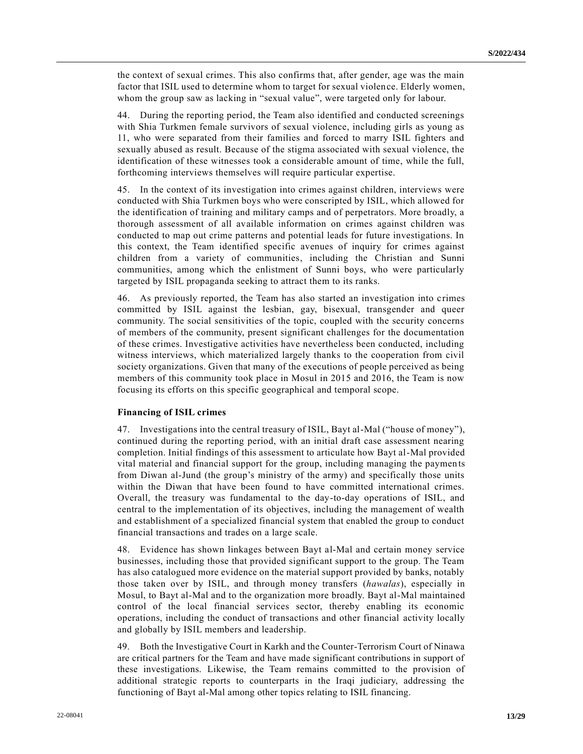the context of sexual crimes. This also confirms that, after gender, age was the main factor that ISIL used to determine whom to target for sexual violence. Elderly women, whom the group saw as lacking in "sexual value", were targeted only for labour.

44. During the reporting period, the Team also identified and conducted screenings with Shia Turkmen female survivors of sexual violence, including girls as young as 11, who were separated from their families and forced to marry ISIL fighters and sexually abused as result. Because of the stigma associated with sexual violence, the identification of these witnesses took a considerable amount of time, while the full, forthcoming interviews themselves will require particular expertise.

45. In the context of its investigation into crimes against children, interviews were conducted with Shia Turkmen boys who were conscripted by ISIL, which allowed for the identification of training and military camps and of perpetrators. More broadly, a thorough assessment of all available information on crimes against children was conducted to map out crime patterns and potential leads for future investigations. In this context, the Team identified specific avenues of inquiry for crimes against children from a variety of communities, including the Christian and Sunni communities, among which the enlistment of Sunni boys, who were particularly targeted by ISIL propaganda seeking to attract them to its ranks.

46. As previously reported, the Team has also started an investigation into crimes committed by ISIL against the lesbian, gay, bisexual, transgender and queer community. The social sensitivities of the topic, coupled with the security concerns of members of the community, present significant challenges for the documentation of these crimes. Investigative activities have nevertheless been conducted, including witness interviews, which materialized largely thanks to the cooperation from civil society organizations. Given that many of the executions of people perceived as being members of this community took place in Mosul in 2015 and 2016, the Team is now focusing its efforts on this specific geographical and temporal scope.

### **Financing of ISIL crimes**

47. Investigations into the central treasury of ISIL, Bayt al-Mal ("house of money"), continued during the reporting period, with an initial draft case assessment nearing completion. Initial findings of this assessment to articulate how Bayt al-Mal provided vital material and financial support for the group, including managing the paymen ts from Diwan al-Jund (the group's ministry of the army) and specifically those units within the Diwan that have been found to have committed international crimes. Overall, the treasury was fundamental to the day-to-day operations of ISIL, and central to the implementation of its objectives, including the management of wealth and establishment of a specialized financial system that enabled the group to conduct financial transactions and trades on a large scale.

48. Evidence has shown linkages between Bayt al-Mal and certain money service businesses, including those that provided significant support to the group. The Team has also catalogued more evidence on the material support provided by banks, notably those taken over by ISIL, and through money transfers (*hawalas*), especially in Mosul, to Bayt al-Mal and to the organization more broadly. Bayt al-Mal maintained control of the local financial services sector, thereby enabling its economic operations, including the conduct of transactions and other financial activity locally and globally by ISIL members and leadership.

49. Both the Investigative Court in Karkh and the Counter-Terrorism Court of Ninawa are critical partners for the Team and have made significant contributions in support of these investigations. Likewise, the Team remains committed to the provision of additional strategic reports to counterparts in the Iraqi judiciary, addressing the functioning of Bayt al-Mal among other topics relating to ISIL financing.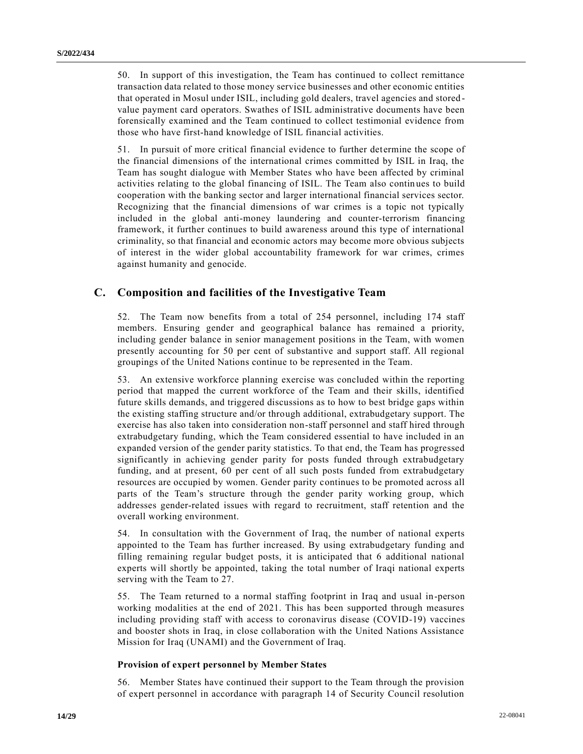50. In support of this investigation, the Team has continued to collect remittance transaction data related to those money service businesses and other economic entities that operated in Mosul under ISIL, including gold dealers, travel agencies and stored value payment card operators. Swathes of ISIL administrative documents have been forensically examined and the Team continued to collect testimonial evidence from those who have first-hand knowledge of ISIL financial activities.

51. In pursuit of more critical financial evidence to further determine the scope of the financial dimensions of the international crimes committed by ISIL in Iraq, the Team has sought dialogue with Member States who have been affected by criminal activities relating to the global financing of ISIL. The Team also contin ues to build cooperation with the banking sector and larger international financial services sector. Recognizing that the financial dimensions of war crimes is a topic not typically included in the global anti-money laundering and counter-terrorism financing framework, it further continues to build awareness around this type of international criminality, so that financial and economic actors may become more obvious subjects of interest in the wider global accountability framework for war crimes, crimes against humanity and genocide.

## **C. Composition and facilities of the Investigative Team**

52. The Team now benefits from a total of 254 personnel, including 174 staff members. Ensuring gender and geographical balance has remained a priority, including gender balance in senior management positions in the Team, with women presently accounting for 50 per cent of substantive and support staff. All regional groupings of the United Nations continue to be represented in the Team.

53. An extensive workforce planning exercise was concluded within the reporting period that mapped the current workforce of the Team and their skills, identified future skills demands, and triggered discussions as to how to best bridge gaps within the existing staffing structure and/or through additional, extrabudgetary support. The exercise has also taken into consideration non-staff personnel and staff hired through extrabudgetary funding, which the Team considered essential to have included in an expanded version of the gender parity statistics. To that end, the Team has progressed significantly in achieving gender parity for posts funded through extrabudgetary funding, and at present, 60 per cent of all such posts funded from extrabudgetary resources are occupied by women. Gender parity continues to be promoted across all parts of the Team's structure through the gender parity working group, which addresses gender-related issues with regard to recruitment, staff retention and the overall working environment.

54. In consultation with the Government of Iraq, the number of national experts appointed to the Team has further increased. By using extrabudgetary funding and filling remaining regular budget posts, it is anticipated that 6 additional national experts will shortly be appointed, taking the total number of Iraqi national experts serving with the Team to 27.

55. The Team returned to a normal staffing footprint in Iraq and usual in-person working modalities at the end of 2021. This has been supported through measures including providing staff with access to coronavirus disease (COVID-19) vaccines and booster shots in Iraq, in close collaboration with the United Nations Assistance Mission for Iraq (UNAMI) and the Government of Iraq.

### **Provision of expert personnel by Member States**

56. Member States have continued their support to the Team through the provision of expert personnel in accordance with paragraph 14 of Security Council resolution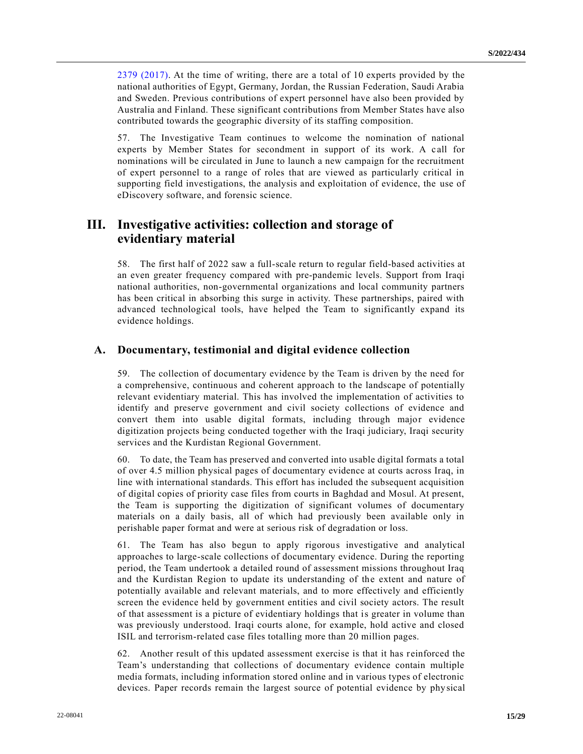[2379 \(2017\).](https://undocs.org/en/S/RES/2379(2017)) At the time of writing, there are a total of 10 experts provided by the national authorities of Egypt, Germany, Jordan, the Russian Federation, Saudi Arabia and Sweden. Previous contributions of expert personnel have also been provided by Australia and Finland. These significant contributions from Member States have also contributed towards the geographic diversity of its staffing composition.

57. The Investigative Team continues to welcome the nomination of national experts by Member States for secondment in support of its work. A call for nominations will be circulated in June to launch a new campaign for the recruitment of expert personnel to a range of roles that are viewed as particularly critical in supporting field investigations, the analysis and exploitation of evidence, the use of eDiscovery software, and forensic science.

# **III. Investigative activities: collection and storage of evidentiary material**

58. The first half of 2022 saw a full-scale return to regular field-based activities at an even greater frequency compared with pre-pandemic levels. Support from Iraqi national authorities, non-governmental organizations and local community partners has been critical in absorbing this surge in activity. These partnerships, paired with advanced technological tools, have helped the Team to significantly expand its evidence holdings.

## **A. Documentary, testimonial and digital evidence collection**

59. The collection of documentary evidence by the Team is driven by the need for a comprehensive, continuous and coherent approach to the landscape of potentially relevant evidentiary material. This has involved the implementation of activities to identify and preserve government and civil society collections of evidence and convert them into usable digital formats, including through major evidence digitization projects being conducted together with the Iraqi judiciary, Iraqi security services and the Kurdistan Regional Government.

60. To date, the Team has preserved and converted into usable digital formats a total of over 4.5 million physical pages of documentary evidence at courts across Iraq, in line with international standards. This effort has included the subsequent acquisition of digital copies of priority case files from courts in Baghdad and Mosul. At present, the Team is supporting the digitization of significant volumes of documentary materials on a daily basis, all of which had previously been available only in perishable paper format and were at serious risk of degradation or loss.

61. The Team has also begun to apply rigorous investigative and analytical approaches to large-scale collections of documentary evidence. During the reporting period, the Team undertook a detailed round of assessment missions throughout Iraq and the Kurdistan Region to update its understanding of the extent and nature of potentially available and relevant materials, and to more effectively and efficiently screen the evidence held by government entities and civil society actors. The result of that assessment is a picture of evidentiary holdings that is greater in volume than was previously understood. Iraqi courts alone, for example, hold active and closed ISIL and terrorism-related case files totalling more than 20 million pages.

62. Another result of this updated assessment exercise is that it has reinforced the Team's understanding that collections of documentary evidence contain multiple media formats, including information stored online and in various types of electronic devices. Paper records remain the largest source of potential evidence by phy sical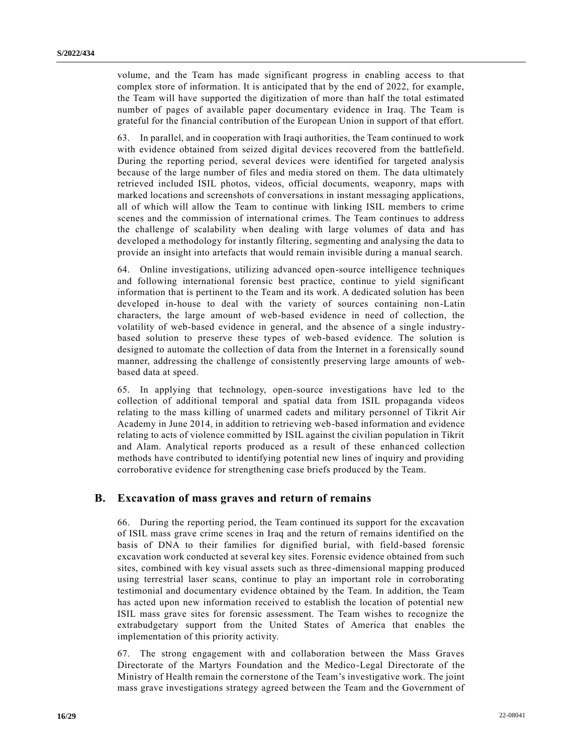volume, and the Team has made significant progress in enabling access to that complex store of information. It is anticipated that by the end of 2022, for example, the Team will have supported the digitization of more than half the total estimated number of pages of available paper documentary evidence in Iraq. The Team is grateful for the financial contribution of the European Union in support of that effort.

63. In parallel, and in cooperation with Iraqi authorities, the Team continued to work with evidence obtained from seized digital devices recovered from the battlefield. During the reporting period, several devices were identified for targeted analysis because of the large number of files and media stored on them. The data ultimately retrieved included ISIL photos, videos, official documents, weaponry, maps with marked locations and screenshots of conversations in instant messaging applications, all of which will allow the Team to continue with linking ISIL members to crime scenes and the commission of international crimes. The Team continues to address the challenge of scalability when dealing with large volumes of data and has developed a methodology for instantly filtering, segmenting and analysing the data to provide an insight into artefacts that would remain invisible during a manual search.

64. Online investigations, utilizing advanced open-source intelligence techniques and following international forensic best practice, continue to yield significant information that is pertinent to the Team and its work. A dedicated solution has been developed in-house to deal with the variety of sources containing non-Latin characters, the large amount of web-based evidence in need of collection, the volatility of web-based evidence in general, and the absence of a single industrybased solution to preserve these types of web-based evidence. The solution is designed to automate the collection of data from the Internet in a forensically sound manner, addressing the challenge of consistently preserving large amounts of webbased data at speed.

65. In applying that technology, open-source investigations have led to the collection of additional temporal and spatial data from ISIL propaganda videos relating to the mass killing of unarmed cadets and military personnel of Tikrit Air Academy in June 2014, in addition to retrieving web-based information and evidence relating to acts of violence committed by ISIL against the civilian population in Tikrit and Alam. Analytical reports produced as a result of these enhanced collection methods have contributed to identifying potential new lines of inquiry and providing corroborative evidence for strengthening case briefs produced by the Team.

### **B. Excavation of mass graves and return of remains**

66. During the reporting period, the Team continued its support for the excavation of ISIL mass grave crime scenes in Iraq and the return of remains identified on the basis of DNA to their families for dignified burial, with field-based forensic excavation work conducted at several key sites. Forensic evidence obtained from such sites, combined with key visual assets such as three-dimensional mapping produced using terrestrial laser scans, continue to play an important role in corroborating testimonial and documentary evidence obtained by the Team. In addition, the Team has acted upon new information received to establish the location of potential new ISIL mass grave sites for forensic assessment. The Team wishes to recognize the extrabudgetary support from the United States of America that enables the implementation of this priority activity.

67. The strong engagement with and collaboration between the Mass Graves Directorate of the Martyrs Foundation and the Medico-Legal Directorate of the Ministry of Health remain the cornerstone of the Team's investigative work. The joint mass grave investigations strategy agreed between the Team and the Government of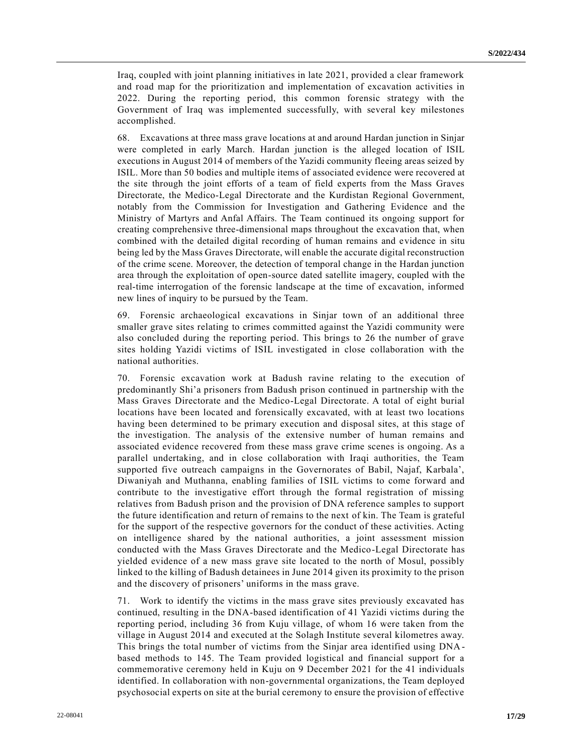Iraq, coupled with joint planning initiatives in late 2021, provided a clear framework and road map for the prioritization and implementation of excavation activities in 2022. During the reporting period, this common forensic strategy with the Government of Iraq was implemented successfully, with several key milestones accomplished.

68. Excavations at three mass grave locations at and around Hardan junction in Sinjar were completed in early March. Hardan junction is the alleged location of ISIL executions in August 2014 of members of the Yazidi community fleeing areas seized by ISIL. More than 50 bodies and multiple items of associated evidence were recovered at the site through the joint efforts of a team of field experts from the Mass Graves Directorate, the Medico-Legal Directorate and the Kurdistan Regional Government, notably from the Commission for Investigation and Gathering Evidence and the Ministry of Martyrs and Anfal Affairs. The Team continued its ongoing support for creating comprehensive three-dimensional maps throughout the excavation that, when combined with the detailed digital recording of human remains and evidence in situ being led by the Mass Graves Directorate, will enable the accurate digital reconstruction of the crime scene. Moreover, the detection of temporal change in the Hardan junction area through the exploitation of open-source dated satellite imagery, coupled with the real-time interrogation of the forensic landscape at the time of excavation, informed new lines of inquiry to be pursued by the Team.

69. Forensic archaeological excavations in Sinjar town of an additional three smaller grave sites relating to crimes committed against the Yazidi community were also concluded during the reporting period. This brings to 26 the number of grave sites holding Yazidi victims of ISIL investigated in close collaboration with the national authorities.

70. Forensic excavation work at Badush ravine relating to the execution of predominantly Shi'a prisoners from Badush prison continued in partnership with the Mass Graves Directorate and the Medico-Legal Directorate. A total of eight burial locations have been located and forensically excavated, with at least two locations having been determined to be primary execution and disposal sites, at this stage of the investigation. The analysis of the extensive number of human remains and associated evidence recovered from these mass grave crime scenes is ongoing. As a parallel undertaking, and in close collaboration with Iraqi authorities, the Team supported five outreach campaigns in the Governorates of Babil, Najaf, Karbala', Diwaniyah and Muthanna, enabling families of ISIL victims to come forward and contribute to the investigative effort through the formal registration of missing relatives from Badush prison and the provision of DNA reference samples to support the future identification and return of remains to the next of kin. The Team is grateful for the support of the respective governors for the conduct of these activities. Acting on intelligence shared by the national authorities, a joint assessment mission conducted with the Mass Graves Directorate and the Medico-Legal Directorate has yielded evidence of a new mass grave site located to the north of Mosul, possibly linked to the killing of Badush detainees in June 2014 given its proximity to the prison and the discovery of prisoners' uniforms in the mass grave.

71. Work to identify the victims in the mass grave sites previously excavated has continued, resulting in the DNA-based identification of 41 Yazidi victims during the reporting period, including 36 from Kuju village, of whom 16 were taken from the village in August 2014 and executed at the Solagh Institute several kilometres away. This brings the total number of victims from the Sinjar area identified using DNA based methods to 145. The Team provided logistical and financial support for a commemorative ceremony held in Kuju on 9 December 2021 for the 41 individuals identified. In collaboration with non-governmental organizations, the Team deployed psychosocial experts on site at the burial ceremony to ensure the provision of effective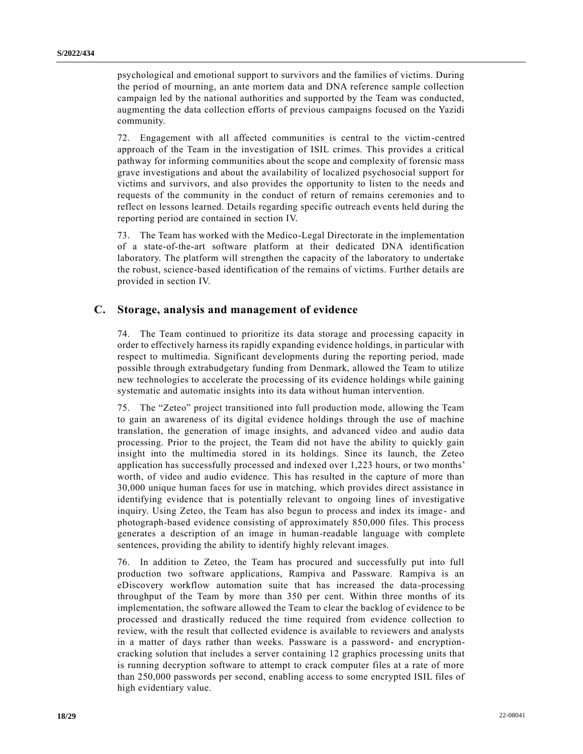psychological and emotional support to survivors and the families of victims. During the period of mourning, an ante mortem data and DNA reference sample collection campaign led by the national authorities and supported by the Team was conducted, augmenting the data collection efforts of previous campaigns focused on the Yazidi community.

72. Engagement with all affected communities is central to the victim-centred approach of the Team in the investigation of ISIL crimes. This provides a critical pathway for informing communities about the scope and complexity of forensic mass grave investigations and about the availability of localized psychosocial support for victims and survivors, and also provides the opportunity to listen to the needs and requests of the community in the conduct of return of remains ceremonies and to reflect on lessons learned. Details regarding specific outreach events held during the reporting period are contained in section IV.

73. The Team has worked with the Medico-Legal Directorate in the implementation of a state-of-the-art software platform at their dedicated DNA identification laboratory. The platform will strengthen the capacity of the laboratory to undertake the robust, science-based identification of the remains of victims. Further details are provided in section IV.

### **C. Storage, analysis and management of evidence**

74. The Team continued to prioritize its data storage and processing capacity in order to effectively harness its rapidly expanding evidence holdings, in particular with respect to multimedia. Significant developments during the reporting period, made possible through extrabudgetary funding from Denmark, allowed the Team to utilize new technologies to accelerate the processing of its evidence holdings while gaining systematic and automatic insights into its data without human intervention.

75. The "Zeteo" project transitioned into full production mode, allowing the Team to gain an awareness of its digital evidence holdings through the use of machine translation, the generation of image insights, and advanced video and audio data processing. Prior to the project, the Team did not have the ability to quickly gain insight into the multimedia stored in its holdings. Since its launch, the Zeteo application has successfully processed and indexed over 1,223 hours, or two months' worth, of video and audio evidence. This has resulted in the capture of more than 30,000 unique human faces for use in matching, which provides direct assistance in identifying evidence that is potentially relevant to ongoing lines of investigative inquiry. Using Zeteo, the Team has also begun to process and index its image - and photograph-based evidence consisting of approximately 850,000 files. This process generates a description of an image in human-readable language with complete sentences, providing the ability to identify highly relevant images.

76. In addition to Zeteo, the Team has procured and successfully put into full production two software applications, Rampiva and Passware. Rampiva is an eDiscovery workflow automation suite that has increased the data-processing throughput of the Team by more than 350 per cent. Within three months of its implementation, the software allowed the Team to clear the backlog of evidence to be processed and drastically reduced the time required from evidence collection to review, with the result that collected evidence is available to reviewers and analysts in a matter of days rather than weeks. Passware is a password- and encryptioncracking solution that includes a server containing 12 graphics processing units that is running decryption software to attempt to crack computer files at a rate of more than 250,000 passwords per second, enabling access to some encrypted ISIL files of high evidentiary value.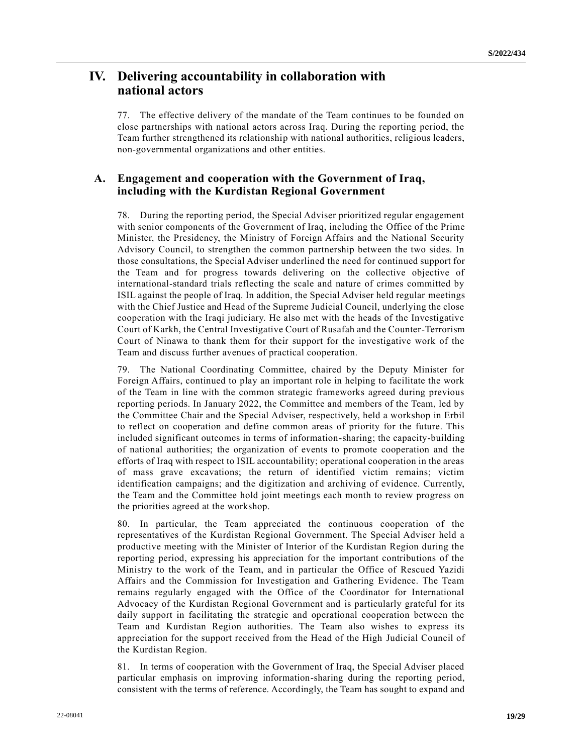# **IV. Delivering accountability in collaboration with national actors**

77. The effective delivery of the mandate of the Team continues to be founded on close partnerships with national actors across Iraq. During the reporting period, the Team further strengthened its relationship with national authorities, religious leaders, non-governmental organizations and other entities.

## **A. Engagement and cooperation with the Government of Iraq, including with the Kurdistan Regional Government**

78. During the reporting period, the Special Adviser prioritized regular engagement with senior components of the Government of Iraq, including the Office of the Prime Minister, the Presidency, the Ministry of Foreign Affairs and the National Security Advisory Council, to strengthen the common partnership between the two sides. In those consultations, the Special Adviser underlined the need for continued support for the Team and for progress towards delivering on the collective objective of international-standard trials reflecting the scale and nature of crimes committed by ISIL against the people of Iraq. In addition, the Special Adviser held regular meetings with the Chief Justice and Head of the Supreme Judicial Council, underlying the close cooperation with the Iraqi judiciary. He also met with the heads of the Investigative Court of Karkh, the Central Investigative Court of Rusafah and the Counter-Terrorism Court of Ninawa to thank them for their support for the investigative work of the Team and discuss further avenues of practical cooperation.

79. The National Coordinating Committee, chaired by the Deputy Minister for Foreign Affairs, continued to play an important role in helping to facilitate the work of the Team in line with the common strategic frameworks agreed during previous reporting periods. In January 2022, the Committee and members of the Team, led by the Committee Chair and the Special Adviser, respectively, held a workshop in Erbil to reflect on cooperation and define common areas of priority for the future. This included significant outcomes in terms of information-sharing; the capacity-building of national authorities; the organization of events to promote cooperation and the efforts of Iraq with respect to ISIL accountability; operational cooperation in the areas of mass grave excavations; the return of identified victim remains; victim identification campaigns; and the digitization and archiving of evidence. Currently, the Team and the Committee hold joint meetings each month to review progress on the priorities agreed at the workshop.

80. In particular, the Team appreciated the continuous cooperation of the representatives of the Kurdistan Regional Government. The Special Adviser held a productive meeting with the Minister of Interior of the Kurdistan Region during the reporting period, expressing his appreciation for the important contributions of the Ministry to the work of the Team, and in particular the Office of Rescued Yazidi Affairs and the Commission for Investigation and Gathering Evidence. The Team remains regularly engaged with the Office of the Coordinator for International Advocacy of the Kurdistan Regional Government and is particularly grateful for its daily support in facilitating the strategic and operational cooperation between the Team and Kurdistan Region authorities. The Team also wishes to express its appreciation for the support received from the Head of the High Judicial Council of the Kurdistan Region.

81. In terms of cooperation with the Government of Iraq, the Special Adviser placed particular emphasis on improving information-sharing during the reporting period, consistent with the terms of reference. Accordingly, the Team has sought to expand and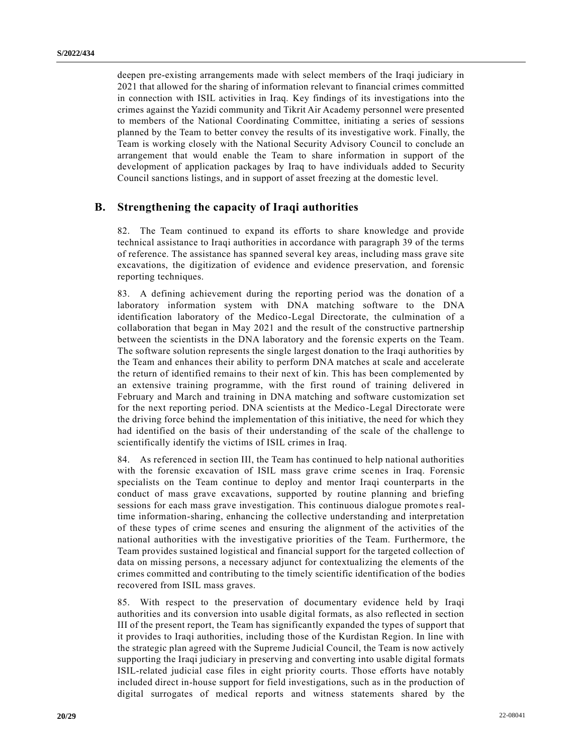deepen pre-existing arrangements made with select members of the Iraqi judiciary in 2021 that allowed for the sharing of information relevant to financial crimes committed in connection with ISIL activities in Iraq. Key findings of its investigations into the crimes against the Yazidi community and Tikrit Air Academy personnel were presented to members of the National Coordinating Committee, initiating a series of sessions planned by the Team to better convey the results of its investigative work. Finally, the Team is working closely with the National Security Advisory Council to conclude an arrangement that would enable the Team to share information in support of the development of application packages by Iraq to have individuals added to Security Council sanctions listings, and in support of asset freezing at the domestic level.

### **B. Strengthening the capacity of Iraqi authorities**

82. The Team continued to expand its efforts to share knowledge and provide technical assistance to Iraqi authorities in accordance with paragraph 39 of the terms of reference. The assistance has spanned several key areas, including mass grave site excavations, the digitization of evidence and evidence preservation, and forensic reporting techniques.

83. A defining achievement during the reporting period was the donation of a laboratory information system with DNA matching software to the DNA identification laboratory of the Medico-Legal Directorate, the culmination of a collaboration that began in May 2021 and the result of the constructive partnership between the scientists in the DNA laboratory and the forensic experts on the Team. The software solution represents the single largest donation to the Iraqi authorities by the Team and enhances their ability to perform DNA matches at scale and accelerate the return of identified remains to their next of kin. This has been complemented by an extensive training programme, with the first round of training delivered in February and March and training in DNA matching and software customization set for the next reporting period. DNA scientists at the Medico-Legal Directorate were the driving force behind the implementation of this initiative, the need for which they had identified on the basis of their understanding of the scale of the challenge to scientifically identify the victims of ISIL crimes in Iraq.

84. As referenced in section III, the Team has continued to help national authorities with the forensic excavation of ISIL mass grave crime scenes in Iraq. Forensic specialists on the Team continue to deploy and mentor Iraqi counterparts in the conduct of mass grave excavations, supported by routine planning and briefing sessions for each mass grave investigation. This continuous dialogue promote s realtime information-sharing, enhancing the collective understanding and interpretation of these types of crime scenes and ensuring the alignment of the activities of the national authorities with the investigative priorities of the Team. Furthermore, the Team provides sustained logistical and financial support for the targeted collection of data on missing persons, a necessary adjunct for contextualizing the elements of the crimes committed and contributing to the timely scientific identification of the bodies recovered from ISIL mass graves.

85. With respect to the preservation of documentary evidence held by Iraqi authorities and its conversion into usable digital formats, as also reflected in section III of the present report, the Team has significantly expanded the types of support that it provides to Iraqi authorities, including those of the Kurdistan Region. In line with the strategic plan agreed with the Supreme Judicial Council, the Team is now actively supporting the Iraqi judiciary in preserving and converting into usable digital formats ISIL-related judicial case files in eight priority courts. Those efforts have notably included direct in-house support for field investigations, such as in the production of digital surrogates of medical reports and witness statements shared by the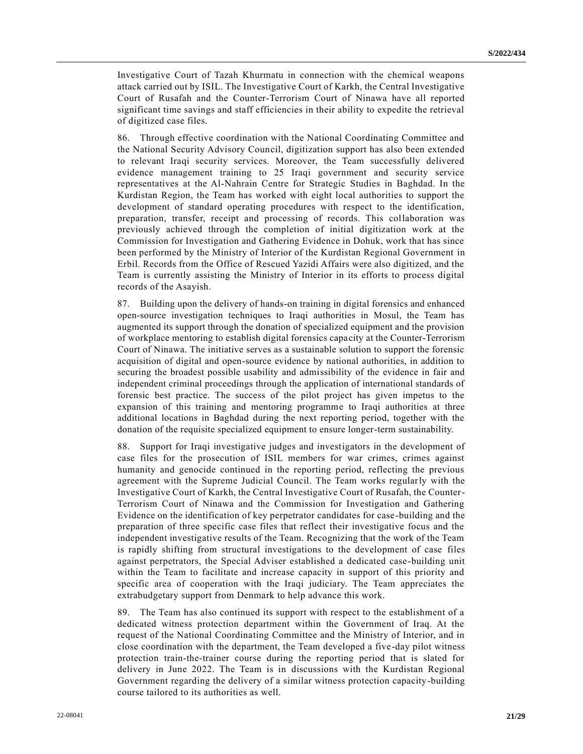Investigative Court of Tazah Khurmatu in connection with the chemical weapons attack carried out by ISIL. The Investigative Court of Karkh, the Central Investigative Court of Rusafah and the Counter-Terrorism Court of Ninawa have all reported significant time savings and staff efficiencies in their ability to expedite the retrieval of digitized case files.

86. Through effective coordination with the National Coordinating Committee and the National Security Advisory Council, digitization support has also been extended to relevant Iraqi security services. Moreover, the Team successfully delivered evidence management training to 25 Iraqi government and security service representatives at the Al-Nahrain Centre for Strategic Studies in Baghdad. In the Kurdistan Region, the Team has worked with eight local authorities to support the development of standard operating procedures with respect to the identification, preparation, transfer, receipt and processing of records. This collaboration was previously achieved through the completion of initial digitization work at the Commission for Investigation and Gathering Evidence in Dohuk, work that has since been performed by the Ministry of Interior of the Kurdistan Regional Government in Erbil. Records from the Office of Rescued Yazidi Affairs were also digitized, and the Team is currently assisting the Ministry of Interior in its efforts to process digital records of the Asayish.

87. Building upon the delivery of hands-on training in digital forensics and enhanced open-source investigation techniques to Iraqi authorities in Mosul, the Team has augmented its support through the donation of specialized equipment and the provision of workplace mentoring to establish digital forensics capacity at the Counter-Terrorism Court of Ninawa. The initiative serves as a sustainable solution to support the forensic acquisition of digital and open-source evidence by national authorities, in addition to securing the broadest possible usability and admissibility of the evidence in fair and independent criminal proceedings through the application of international standards of forensic best practice. The success of the pilot project has given impetus to the expansion of this training and mentoring programme to Iraqi authorities at three additional locations in Baghdad during the next reporting period, together with the donation of the requisite specialized equipment to ensure longer-term sustainability.

88. Support for Iraqi investigative judges and investigators in the development of case files for the prosecution of ISIL members for war crimes, crimes against humanity and genocide continued in the reporting period, reflecting the previous agreement with the Supreme Judicial Council. The Team works regularly with the Investigative Court of Karkh, the Central Investigative Court of Rusafah, the Counter-Terrorism Court of Ninawa and the Commission for Investigation and Gathering Evidence on the identification of key perpetrator candidates for case-building and the preparation of three specific case files that reflect their investigative focus and the independent investigative results of the Team. Recognizing that the work of the Team is rapidly shifting from structural investigations to the development of case files against perpetrators, the Special Adviser established a dedicated case-building unit within the Team to facilitate and increase capacity in support of this priority and specific area of cooperation with the Iraqi judiciary. The Team appreciates the extrabudgetary support from Denmark to help advance this work.

89. The Team has also continued its support with respect to the establishment of a dedicated witness protection department within the Government of Iraq. At the request of the National Coordinating Committee and the Ministry of Interior, and in close coordination with the department, the Team developed a five-day pilot witness protection train-the-trainer course during the reporting period that is slated for delivery in June 2022. The Team is in discussions with the Kurdistan Regional Government regarding the delivery of a similar witness protection capacity-building course tailored to its authorities as well.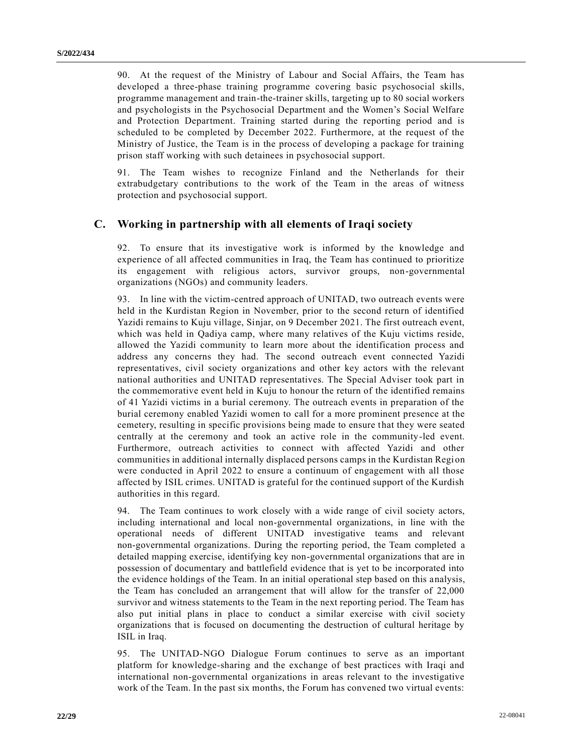90. At the request of the Ministry of Labour and Social Affairs, the Team has developed a three-phase training programme covering basic psychosocial skills, programme management and train-the-trainer skills, targeting up to 80 social workers and psychologists in the Psychosocial Department and the Women's Social Welfare and Protection Department. Training started during the reporting period and is scheduled to be completed by December 2022. Furthermore, at the request of the Ministry of Justice, the Team is in the process of developing a package for training prison staff working with such detainees in psychosocial support.

91. The Team wishes to recognize Finland and the Netherlands for their extrabudgetary contributions to the work of the Team in the areas of witness protection and psychosocial support.

## **C. Working in partnership with all elements of Iraqi society**

92. To ensure that its investigative work is informed by the knowledge and experience of all affected communities in Iraq, the Team has continued to prioritize its engagement with religious actors, survivor groups, non-governmental organizations (NGOs) and community leaders.

93. In line with the victim-centred approach of UNITAD, two outreach events were held in the Kurdistan Region in November, prior to the second return of identified Yazidi remains to Kuju village, Sinjar, on 9 December 2021. The first outreach event, which was held in Qadiya camp, where many relatives of the Kuju victims reside, allowed the Yazidi community to learn more about the identification process and address any concerns they had. The second outreach event connected Yazidi representatives, civil society organizations and other key actors with the relevant national authorities and UNITAD representatives. The Special Adviser took part in the commemorative event held in Kuju to honour the return of the identified remains of 41 Yazidi victims in a burial ceremony. The outreach events in preparation of the burial ceremony enabled Yazidi women to call for a more prominent presence at the cemetery, resulting in specific provisions being made to ensure that they were seated centrally at the ceremony and took an active role in the community-led event. Furthermore, outreach activities to connect with affected Yazidi and other communities in additional internally displaced persons camps in the Kurdistan Region were conducted in April 2022 to ensure a continuum of engagement with all those affected by ISIL crimes. UNITAD is grateful for the continued support of the Kurdish authorities in this regard.

94. The Team continues to work closely with a wide range of civil society actors, including international and local non-governmental organizations, in line with the operational needs of different UNITAD investigative teams and relevant non-governmental organizations. During the reporting period, the Team completed a detailed mapping exercise, identifying key non-governmental organizations that are in possession of documentary and battlefield evidence that is yet to be incorporated into the evidence holdings of the Team. In an initial operational step based on this analysis, the Team has concluded an arrangement that will allow for the transfer of 22,000 survivor and witness statements to the Team in the next reporting period. The Team has also put initial plans in place to conduct a similar exercise with civil society organizations that is focused on documenting the destruction of cultural heritage by ISIL in Iraq.

95. The UNITAD-NGO Dialogue Forum continues to serve as an important platform for knowledge-sharing and the exchange of best practices with Iraqi and international non-governmental organizations in areas relevant to the investigative work of the Team. In the past six months, the Forum has convened two virtual events: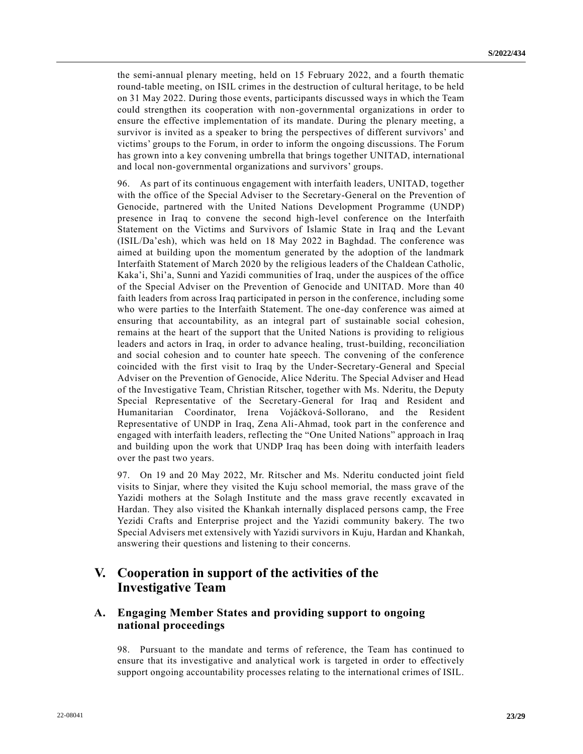the semi-annual plenary meeting, held on 15 February 2022, and a fourth thematic round-table meeting, on ISIL crimes in the destruction of cultural heritage, to be held on 31 May 2022. During those events, participants discussed ways in which the Team could strengthen its cooperation with non-governmental organizations in order to ensure the effective implementation of its mandate. During the plenary meeting, a survivor is invited as a speaker to bring the perspectives of different survivors' and victims' groups to the Forum, in order to inform the ongoing discussions. The Forum has grown into a key convening umbrella that brings together UNITAD, international and local non-governmental organizations and survivors' groups.

96. As part of its continuous engagement with interfaith leaders, UNITAD, together with the office of the Special Adviser to the Secretary-General on the Prevention of Genocide, partnered with the United Nations Development Programme (UNDP) presence in Iraq to convene the second high-level conference on the Interfaith Statement on the Victims and Survivors of Islamic State in Iraq and the Levant (ISIL/Da'esh), which was held on 18 May 2022 in Baghdad. The conference was aimed at building upon the momentum generated by the adoption of the landmark Interfaith Statement of March 2020 by the religious leaders of the Chaldean Catholic, Kaka'i, Shi'a, Sunni and Yazidi communities of Iraq, under the auspices of the office of the Special Adviser on the Prevention of Genocide and UNITAD. More than 40 faith leaders from across Iraq participated in person in the conference, including some who were parties to the Interfaith Statement. The one-day conference was aimed at ensuring that accountability, as an integral part of sustainable social cohesion, remains at the heart of the support that the United Nations is providing to religious leaders and actors in Iraq, in order to advance healing, trust-building, reconciliation and social cohesion and to counter hate speech. The convening of the conference coincided with the first visit to Iraq by the Under-Secretary-General and Special Adviser on the Prevention of Genocide, Alice Nderitu. The Special Adviser and Head of the Investigative Team, Christian Ritscher, together with Ms. Nderitu, the Deputy Special Representative of the Secretary-General for Iraq and Resident and Humanitarian Coordinator, Irena Vojáčková-Sollorano, and the Resident Representative of UNDP in Iraq, Zena Ali-Ahmad, took part in the conference and engaged with interfaith leaders, reflecting the "One United Nations" approach in Iraq and building upon the work that UNDP Iraq has been doing with interfaith leaders over the past two years.

97. On 19 and 20 May 2022, Mr. Ritscher and Ms. Nderitu conducted joint field visits to Sinjar, where they visited the Kuju school memorial, the mass grave of the Yazidi mothers at the Solagh Institute and the mass grave recently excavated in Hardan. They also visited the Khankah internally displaced persons camp, the Free Yezidi Crafts and Enterprise project and the Yazidi community bakery. The two Special Advisers met extensively with Yazidi survivors in Kuju, Hardan and Khankah, answering their questions and listening to their concerns.

# **V. Cooperation in support of the activities of the Investigative Team**

## **A. Engaging Member States and providing support to ongoing national proceedings**

98. Pursuant to the mandate and terms of reference, the Team has continued to ensure that its investigative and analytical work is targeted in order to effectively support ongoing accountability processes relating to the international crimes of ISIL.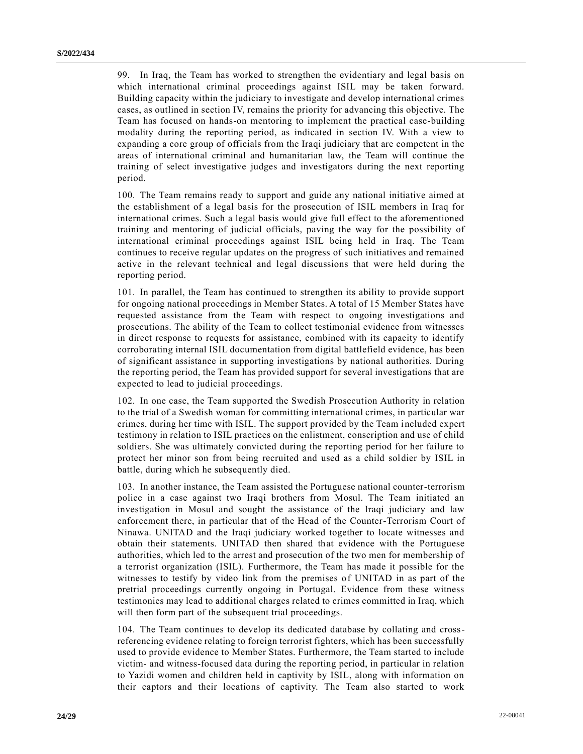99. In Iraq, the Team has worked to strengthen the evidentiary and legal basis on which international criminal proceedings against ISIL may be taken forward. Building capacity within the judiciary to investigate and develop international crimes cases, as outlined in section IV, remains the priority for advancing this objective. The Team has focused on hands-on mentoring to implement the practical case-building modality during the reporting period, as indicated in section IV. With a view to expanding a core group of officials from the Iraqi judiciary that are competent in the areas of international criminal and humanitarian law, the Team will continue the training of select investigative judges and investigators during the next reporting period.

100. The Team remains ready to support and guide any national initiative aimed at the establishment of a legal basis for the prosecution of ISIL members in Iraq for international crimes. Such a legal basis would give full effect to the aforementioned training and mentoring of judicial officials, paving the way for the possibility of international criminal proceedings against ISIL being held in Iraq. The Team continues to receive regular updates on the progress of such initiatives and remained active in the relevant technical and legal discussions that were held during the reporting period.

101. In parallel, the Team has continued to strengthen its ability to provide support for ongoing national proceedings in Member States. A total of 15 Member States have requested assistance from the Team with respect to ongoing investigations and prosecutions. The ability of the Team to collect testimonial evidence from witnesses in direct response to requests for assistance, combined with its capacity to identify corroborating internal ISIL documentation from digital battlefield evidence, has been of significant assistance in supporting investigations by national authorities. During the reporting period, the Team has provided support for several investigations that are expected to lead to judicial proceedings.

102. In one case, the Team supported the Swedish Prosecution Authority in relation to the trial of a Swedish woman for committing international crimes, in particular war crimes, during her time with ISIL. The support provided by the Team included expert testimony in relation to ISIL practices on the enlistment, conscription and use of child soldiers. She was ultimately convicted during the reporting period for her failure to protect her minor son from being recruited and used as a child soldier by ISIL in battle, during which he subsequently died.

103. In another instance, the Team assisted the Portuguese national counter-terrorism police in a case against two Iraqi brothers from Mosul. The Team initiated an investigation in Mosul and sought the assistance of the Iraqi judiciary and law enforcement there, in particular that of the Head of the Counter-Terrorism Court of Ninawa. UNITAD and the Iraqi judiciary worked together to locate witnesses and obtain their statements. UNITAD then shared that evidence with the Portuguese authorities, which led to the arrest and prosecution of the two men for membership of a terrorist organization (ISIL). Furthermore, the Team has made it possible for the witnesses to testify by video link from the premises of UNITAD in as part of the pretrial proceedings currently ongoing in Portugal. Evidence from these witness testimonies may lead to additional charges related to crimes committed in Iraq, which will then form part of the subsequent trial proceedings.

104. The Team continues to develop its dedicated database by collating and crossreferencing evidence relating to foreign terrorist fighters, which has been successfully used to provide evidence to Member States. Furthermore, the Team started to include victim- and witness-focused data during the reporting period, in particular in relation to Yazidi women and children held in captivity by ISIL, along with information on their captors and their locations of captivity. The Team also started to work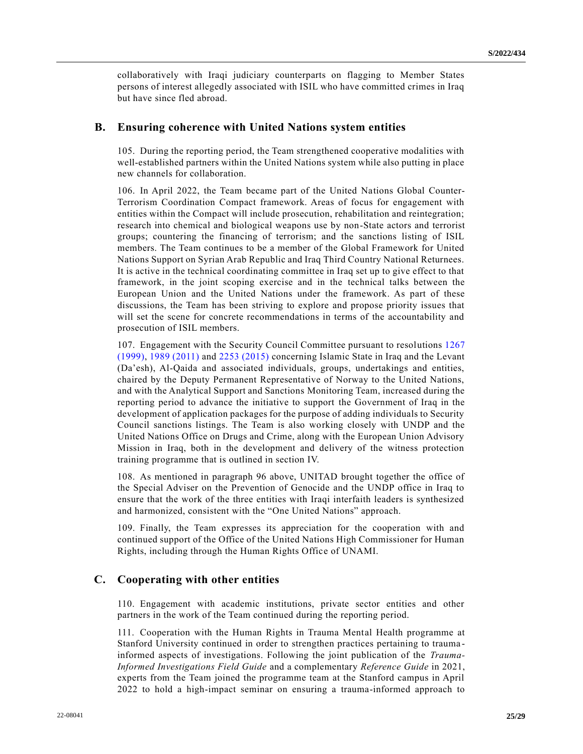collaboratively with Iraqi judiciary counterparts on flagging to Member States persons of interest allegedly associated with ISIL who have committed crimes in Iraq but have since fled abroad.

### **B. Ensuring coherence with United Nations system entities**

105. During the reporting period, the Team strengthened cooperative modalities with well-established partners within the United Nations system while also putting in place new channels for collaboration.

106. In April 2022, the Team became part of the United Nations Global Counter-Terrorism Coordination Compact framework. Areas of focus for engagement with entities within the Compact will include prosecution, rehabilitation and reintegration; research into chemical and biological weapons use by non-State actors and terrorist groups; countering the financing of terrorism; and the sanctions listing of ISIL members. The Team continues to be a member of the Global Framework for United Nations Support on Syrian Arab Republic and Iraq Third Country National Returnees. It is active in the technical coordinating committee in Iraq set up to give effect to that framework, in the joint scoping exercise and in the technical talks between the European Union and the United Nations under the framework. As part of these discussions, the Team has been striving to explore and propose priority issues that will set the scene for concrete recommendations in terms of the accountability and prosecution of ISIL members.

107. Engagement with the Security Council Committee pursuant to resolutions [1267](https://undocs.org/en/S/RES/1267(1999))  [\(1999\),](https://undocs.org/en/S/RES/1267(1999)) [1989 \(2011\)](https://undocs.org/en/S/RES/1989(2011)) and [2253 \(2015\)](https://undocs.org/en/S/RES/2253(2015)) concerning Islamic State in Iraq and the Levant (Da'esh), Al-Qaida and associated individuals, groups, undertakings and entities, chaired by the Deputy Permanent Representative of Norway to the United Nations, and with the Analytical Support and Sanctions Monitoring Team, increased during the reporting period to advance the initiative to support the Government of Iraq in the development of application packages for the purpose of adding individuals to Security Council sanctions listings. The Team is also working closely with UNDP and the United Nations Office on Drugs and Crime, along with the European Union Advisory Mission in Iraq, both in the development and delivery of the witness protection training programme that is outlined in section IV.

108. As mentioned in paragraph 96 above, UNITAD brought together the office of the Special Adviser on the Prevention of Genocide and the UNDP office in Iraq to ensure that the work of the three entities with Iraqi interfaith leaders is synthesized and harmonized, consistent with the "One United Nations" approach.

109. Finally, the Team expresses its appreciation for the cooperation with and continued support of the Office of the United Nations High Commissioner for Human Rights, including through the Human Rights Office of UNAMI.

### **C. Cooperating with other entities**

110. Engagement with academic institutions, private sector entities and other partners in the work of the Team continued during the reporting period.

111. Cooperation with the Human Rights in Trauma Mental Health programme at Stanford University continued in order to strengthen practices pertaining to trauma informed aspects of investigations. Following the joint publication of the *Trauma-Informed Investigations Field Guide* and a complementary *Reference Guide* in 2021, experts from the Team joined the programme team at the Stanford campus in April 2022 to hold a high-impact seminar on ensuring a trauma-informed approach to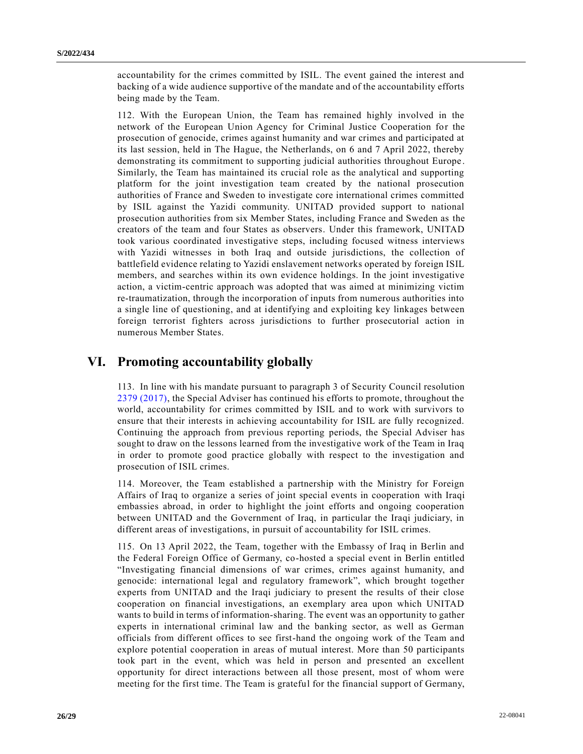accountability for the crimes committed by ISIL. The event gained the interest and backing of a wide audience supportive of the mandate and of the accountability efforts being made by the Team.

112. With the European Union, the Team has remained highly involved in the network of the European Union Agency for Criminal Justice Cooperation for the prosecution of genocide, crimes against humanity and war crimes and participated at its last session, held in The Hague, the Netherlands, on 6 and 7 April 2022, thereby demonstrating its commitment to supporting judicial authorities throughout Europe . Similarly, the Team has maintained its crucial role as the analytical and supporting platform for the joint investigation team created by the national prosecution authorities of France and Sweden to investigate core international crimes committed by ISIL against the Yazidi community. UNITAD provided support to national prosecution authorities from six Member States, including France and Sweden as the creators of the team and four States as observers. Under this framework, UNITAD took various coordinated investigative steps, including focused witness interviews with Yazidi witnesses in both Iraq and outside jurisdictions, the collection of battlefield evidence relating to Yazidi enslavement networks operated by foreign ISIL members, and searches within its own evidence holdings. In the joint investigative action, a victim-centric approach was adopted that was aimed at minimizing victim re-traumatization, through the incorporation of inputs from numerous authorities into a single line of questioning, and at identifying and exploiting key linkages between foreign terrorist fighters across jurisdictions to further prosecutorial action in numerous Member States.

# **VI. Promoting accountability globally**

113. In line with his mandate pursuant to paragraph 3 of Security Council resolution [2379 \(2017\),](https://undocs.org/en/S/RES/2379(2017)) the Special Adviser has continued his efforts to promote, throughout the world, accountability for crimes committed by ISIL and to work with survivors to ensure that their interests in achieving accountability for ISIL are fully recognized. Continuing the approach from previous reporting periods, the Special Adviser has sought to draw on the lessons learned from the investigative work of the Team in Iraq in order to promote good practice globally with respect to the investigation and prosecution of ISIL crimes.

114. Moreover, the Team established a partnership with the Ministry for Foreign Affairs of Iraq to organize a series of joint special events in cooperation with Iraqi embassies abroad, in order to highlight the joint efforts and ongoing cooperation between UNITAD and the Government of Iraq, in particular the Iraqi judiciary, in different areas of investigations, in pursuit of accountability for ISIL crimes.

115. On 13 April 2022, the Team, together with the Embassy of Iraq in Berlin and the Federal Foreign Office of Germany, co-hosted a special event in Berlin entitled "Investigating financial dimensions of war crimes, crimes against humanity, and genocide: international legal and regulatory framework", which brought together experts from UNITAD and the Iraqi judiciary to present the results of their close cooperation on financial investigations, an exemplary area upon which UNITAD wants to build in terms of information-sharing. The event was an opportunity to gather experts in international criminal law and the banking sector, as well as German officials from different offices to see first-hand the ongoing work of the Team and explore potential cooperation in areas of mutual interest. More than 50 participants took part in the event, which was held in person and presented an excellent opportunity for direct interactions between all those present, most of whom were meeting for the first time. The Team is grateful for the financial support of Germany,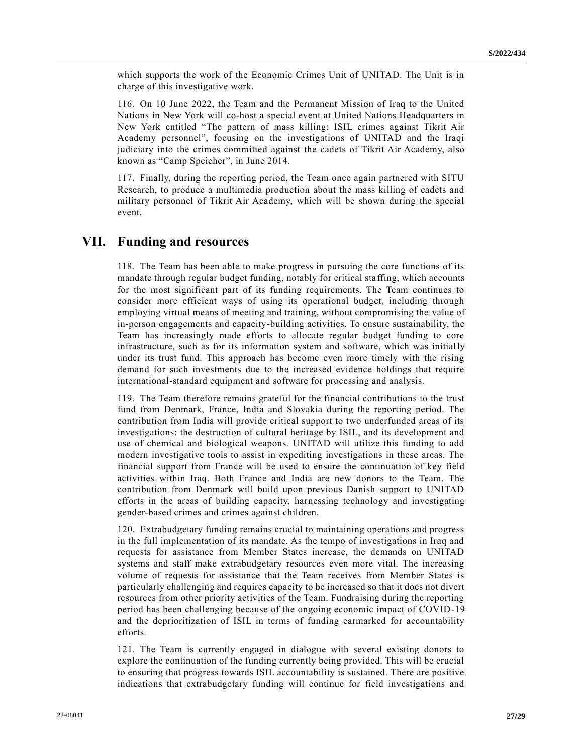which supports the work of the Economic Crimes Unit of UNITAD. The Unit is in charge of this investigative work.

116. On 10 June 2022, the Team and the Permanent Mission of Iraq to the United Nations in New York will co-host a special event at United Nations Headquarters in New York entitled "The pattern of mass killing: ISIL crimes against Tikrit Air Academy personnel", focusing on the investigations of UNITAD and the Iraqi judiciary into the crimes committed against the cadets of Tikrit Air Academy, also known as "Camp Speicher", in June 2014.

117. Finally, during the reporting period, the Team once again partnered with SITU Research, to produce a multimedia production about the mass killing of cadets and military personnel of Tikrit Air Academy, which will be shown during the special event.

## **VII. Funding and resources**

118. The Team has been able to make progress in pursuing the core functions of its mandate through regular budget funding, notably for critical sta ffing, which accounts for the most significant part of its funding requirements. The Team continues to consider more efficient ways of using its operational budget, including through employing virtual means of meeting and training, without compromising the value of in-person engagements and capacity-building activities. To ensure sustainability, the Team has increasingly made efforts to allocate regular budget funding to core infrastructure, such as for its information system and software, which was initially under its trust fund. This approach has become even more timely with the rising demand for such investments due to the increased evidence holdings that require international-standard equipment and software for processing and analysis.

119. The Team therefore remains grateful for the financial contributions to the trust fund from Denmark, France, India and Slovakia during the reporting period. The contribution from India will provide critical support to two underfunded areas of its investigations: the destruction of cultural heritage by ISIL, and its development and use of chemical and biological weapons. UNITAD will utilize this funding to add modern investigative tools to assist in expediting investigations in these areas. The financial support from France will be used to ensure the continuation of key field activities within Iraq. Both France and India are new donors to the Team. The contribution from Denmark will build upon previous Danish support to UNITAD efforts in the areas of building capacity, harnessing technology and investigating gender-based crimes and crimes against children.

120. Extrabudgetary funding remains crucial to maintaining operations and progress in the full implementation of its mandate. As the tempo of investigations in Iraq and requests for assistance from Member States increase, the demands on UNITAD systems and staff make extrabudgetary resources even more vital. The increasing volume of requests for assistance that the Team receives from Member States is particularly challenging and requires capacity to be increased so that it does not divert resources from other priority activities of the Team. Fundraising during the reporting period has been challenging because of the ongoing economic impact of COVID-19 and the deprioritization of ISIL in terms of funding earmarked for accountability efforts.

121. The Team is currently engaged in dialogue with several existing donors to explore the continuation of the funding currently being provided. This will be crucial to ensuring that progress towards ISIL accountability is sustained. There are positive indications that extrabudgetary funding will continue for field investigations and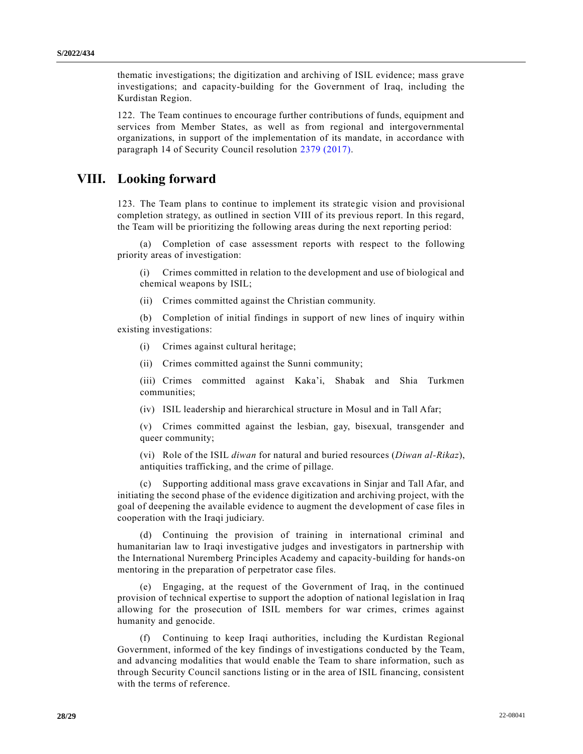thematic investigations; the digitization and archiving of ISIL evidence; mass grave investigations; and capacity-building for the Government of Iraq, including the Kurdistan Region.

122. The Team continues to encourage further contributions of funds, equipment and services from Member States, as well as from regional and intergovernmental organizations, in support of the implementation of its mandate, in accordance with paragraph 14 of Security Council resolution [2379 \(2017\).](https://undocs.org/en/S/RES/2379(2017))

# **VIII. Looking forward**

123. The Team plans to continue to implement its strategic vision and provisional completion strategy, as outlined in section VIII of its previous report. In this regard, the Team will be prioritizing the following areas during the next reporting period:

(a) Completion of case assessment reports with respect to the following priority areas of investigation:

(i) Crimes committed in relation to the development and use of biological and chemical weapons by ISIL;

(ii) Crimes committed against the Christian community.

(b) Completion of initial findings in support of new lines of inquiry within existing investigations:

(i) Crimes against cultural heritage;

(ii) Crimes committed against the Sunni community;

(iii) Crimes committed against Kaka'i, Shabak and Shia Turkmen communities;

(iv) ISIL leadership and hierarchical structure in Mosul and in Tall Afar;

(v) Crimes committed against the lesbian, gay, bisexual, transgender and queer community;

(vi) Role of the ISIL *diwan* for natural and buried resources (*Diwan al-Rikaz*), antiquities trafficking, and the crime of pillage.

(c) Supporting additional mass grave excavations in Sinjar and Tall Afar, and initiating the second phase of the evidence digitization and archiving project, with the goal of deepening the available evidence to augment the development of case files in cooperation with the Iraqi judiciary.

(d) Continuing the provision of training in international criminal and humanitarian law to Iraqi investigative judges and investigators in partnership with the International Nuremberg Principles Academy and capacity-building for hands-on mentoring in the preparation of perpetrator case files.

(e) Engaging, at the request of the Government of Iraq, in the continued provision of technical expertise to support the adoption of national legislation in Iraq allowing for the prosecution of ISIL members for war crimes, crimes against humanity and genocide.

(f) Continuing to keep Iraqi authorities, including the Kurdistan Regional Government, informed of the key findings of investigations conducted by the Team, and advancing modalities that would enable the Team to share information, such as through Security Council sanctions listing or in the area of ISIL financing, consistent with the terms of reference.